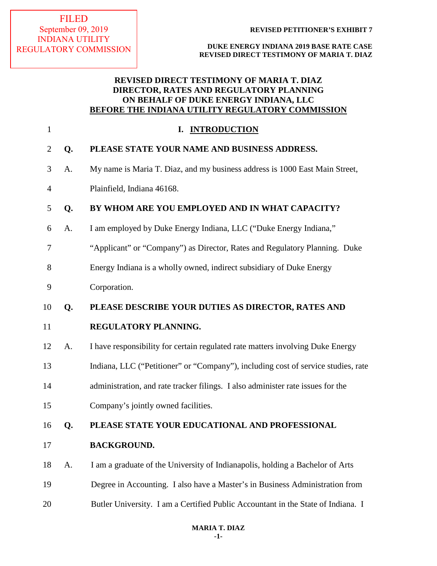## **REVISED DIRECT TESTIMONY OF MARIA T. DIAZ DIRECTOR, RATES AND REGULATORY PLANNING ON BEHALF OF DUKE ENERGY INDIANA, LLC BEFORE THE INDIANA UTILITY REGULATORY COMMISSION**

| $\mathbf{1}$   |    | <b>INTRODUCTION</b><br>I.                                                         |  |
|----------------|----|-----------------------------------------------------------------------------------|--|
| $\overline{2}$ | Q. | PLEASE STATE YOUR NAME AND BUSINESS ADDRESS.                                      |  |
| 3              | A. | My name is Maria T. Diaz, and my business address is 1000 East Main Street,       |  |
| 4              |    | Plainfield, Indiana 46168.                                                        |  |
| 5              | Q. | BY WHOM ARE YOU EMPLOYED AND IN WHAT CAPACITY?                                    |  |
| 6              | A. | I am employed by Duke Energy Indiana, LLC ("Duke Energy Indiana,"                 |  |
| 7              |    | "Applicant" or "Company") as Director, Rates and Regulatory Planning. Duke        |  |
| 8              |    | Energy Indiana is a wholly owned, indirect subsidiary of Duke Energy              |  |
| 9              |    | Corporation.                                                                      |  |
| 10             | Q. | PLEASE DESCRIBE YOUR DUTIES AS DIRECTOR, RATES AND                                |  |
| 11             |    | REGULATORY PLANNING.                                                              |  |
| 12             | A. | I have responsibility for certain regulated rate matters involving Duke Energy    |  |
| 13             |    | Indiana, LLC ("Petitioner" or "Company"), including cost of service studies, rate |  |
| 14             |    | administration, and rate tracker filings. I also administer rate issues for the   |  |
| 15             |    | Company's jointly owned facilities.                                               |  |
| 16             | Q. | PLEASE STATE YOUR EDUCATIONAL AND PROFESSIONAL                                    |  |
| 17             |    | <b>BACKGROUND.</b>                                                                |  |
| 18             | A. | I am a graduate of the University of Indianapolis, holding a Bachelor of Arts     |  |
| 19             |    | Degree in Accounting. I also have a Master's in Business Administration from      |  |
| 20             |    | Butler University. I am a Certified Public Accountant in the State of Indiana. I  |  |
|                |    |                                                                                   |  |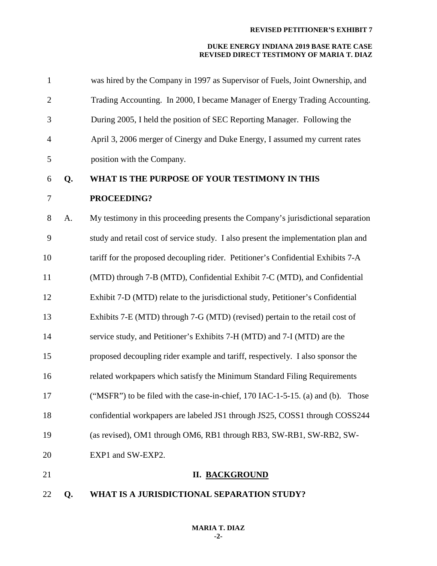| 22             | Q. | WHAT IS A JURISDICTIONAL SEPARATION STUDY?                                         |
|----------------|----|------------------------------------------------------------------------------------|
| 21             |    | <b>II. BACKGROUND</b>                                                              |
| 20             |    | EXP1 and SW-EXP2.                                                                  |
| 19             |    | (as revised), OM1 through OM6, RB1 through RB3, SW-RB1, SW-RB2, SW-                |
| 18             |    | confidential workpapers are labeled JS1 through JS25, COSS1 through COSS244        |
| 17             |    | ("MSFR") to be filed with the case-in-chief, 170 IAC-1-5-15. (a) and (b). Those    |
| 16             |    | related workpapers which satisfy the Minimum Standard Filing Requirements          |
| 15             |    | proposed decoupling rider example and tariff, respectively. I also sponsor the     |
| 14             |    | service study, and Petitioner's Exhibits 7-H (MTD) and 7-I (MTD) are the           |
| 13             |    | Exhibits 7-E (MTD) through 7-G (MTD) (revised) pertain to the retail cost of       |
| 12             |    | Exhibit 7-D (MTD) relate to the jurisdictional study, Petitioner's Confidential    |
| 11             |    | (MTD) through 7-B (MTD), Confidential Exhibit 7-C (MTD), and Confidential          |
| 10             |    | tariff for the proposed decoupling rider. Petitioner's Confidential Exhibits 7-A   |
| 9              |    | study and retail cost of service study. I also present the implementation plan and |
| 8              | A. | My testimony in this proceeding presents the Company's jurisdictional separation   |
| $\tau$         |    | PROCEEDING?                                                                        |
| 6              | Q. | WHAT IS THE PURPOSE OF YOUR TESTIMONY IN THIS                                      |
| 5              |    | position with the Company.                                                         |
| $\overline{4}$ |    | April 3, 2006 merger of Cinergy and Duke Energy, I assumed my current rates        |
| 3              |    | During 2005, I held the position of SEC Reporting Manager. Following the           |
| $\overline{2}$ |    | Trading Accounting. In 2000, I became Manager of Energy Trading Accounting.        |
| $\mathbf{1}$   |    | was hired by the Company in 1997 as Supervisor of Fuels, Joint Ownership, and      |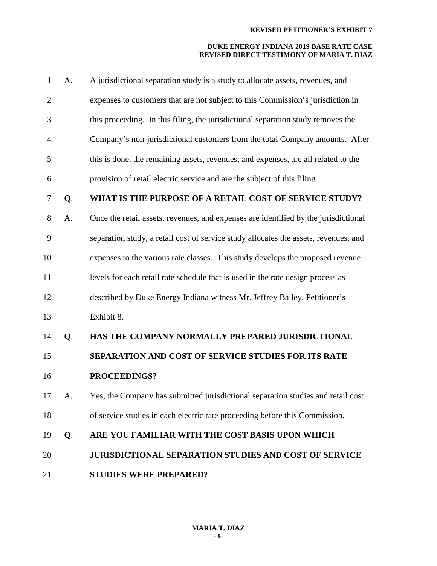| $\mathbf{1}$   | A. | A jurisdictional separation study is a study to allocate assets, revenues, and       |
|----------------|----|--------------------------------------------------------------------------------------|
| $\overline{2}$ |    | expenses to customers that are not subject to this Commission's jurisdiction in      |
| 3              |    | this proceeding. In this filing, the jurisdictional separation study removes the     |
| 4              |    | Company's non-jurisdictional customers from the total Company amounts. After         |
| 5              |    | this is done, the remaining assets, revenues, and expenses, are all related to the   |
| 6              |    | provision of retail electric service and are the subject of this filing.             |
| 7              | Q. | WHAT IS THE PURPOSE OF A RETAIL COST OF SERVICE STUDY?                               |
| 8              | A. | Once the retail assets, revenues, and expenses are identified by the jurisdictional  |
| 9              |    | separation study, a retail cost of service study allocates the assets, revenues, and |
| 10             |    | expenses to the various rate classes. This study develops the proposed revenue       |
| 11             |    | levels for each retail rate schedule that is used in the rate design process as      |
| 12             |    | described by Duke Energy Indiana witness Mr. Jeffrey Bailey, Petitioner's            |
| 13             |    | Exhibit 8.                                                                           |
| 14             | Q. | HAS THE COMPANY NORMALLY PREPARED JURISDICTIONAL                                     |
| 15             |    | SEPARATION AND COST OF SERVICE STUDIES FOR ITS RATE                                  |
| 16             |    | PROCEEDINGS?                                                                         |
| 17             | A. | Yes, the Company has submitted jurisdictional separation studies and retail cost     |
| 18             |    | of service studies in each electric rate proceeding before this Commission.          |
| 19             | Q. | ARE YOU FAMILIAR WITH THE COST BASIS UPON WHICH                                      |
| 20             |    | <b>JURISDICTIONAL SEPARATION STUDIES AND COST OF SERVICE</b>                         |
| 21             |    | <b>STUDIES WERE PREPARED?</b>                                                        |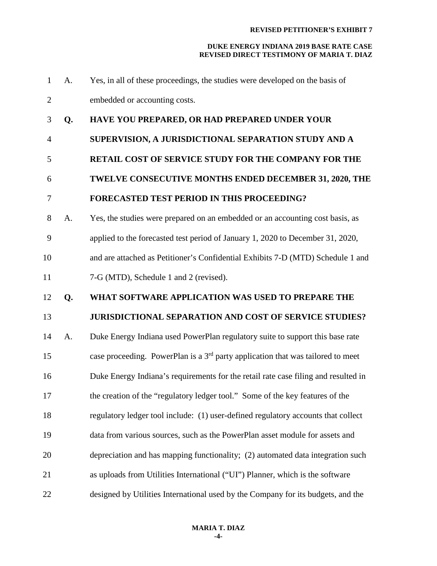| $\mathbf{1}$   | A. | Yes, in all of these proceedings, the studies were developed on the basis of                |  |  |
|----------------|----|---------------------------------------------------------------------------------------------|--|--|
| $\overline{2}$ |    | embedded or accounting costs.                                                               |  |  |
| 3              | Q. | HAVE YOU PREPARED, OR HAD PREPARED UNDER YOUR                                               |  |  |
| $\overline{4}$ |    | SUPERVISION, A JURISDICTIONAL SEPARATION STUDY AND A                                        |  |  |
| 5              |    | <b>RETAIL COST OF SERVICE STUDY FOR THE COMPANY FOR THE</b>                                 |  |  |
| 6              |    | TWELVE CONSECUTIVE MONTHS ENDED DECEMBER 31, 2020, THE                                      |  |  |
| $\overline{7}$ |    | <b>FORECASTED TEST PERIOD IN THIS PROCEEDING?</b>                                           |  |  |
| 8              | A. | Yes, the studies were prepared on an embedded or an accounting cost basis, as               |  |  |
| 9              |    | applied to the forecasted test period of January 1, 2020 to December 31, 2020,              |  |  |
| 10             |    | and are attached as Petitioner's Confidential Exhibits 7-D (MTD) Schedule 1 and             |  |  |
| 11             |    | 7-G (MTD), Schedule 1 and 2 (revised).                                                      |  |  |
|                |    |                                                                                             |  |  |
| 12             | Q. | WHAT SOFTWARE APPLICATION WAS USED TO PREPARE THE                                           |  |  |
| 13             |    | <b>JURISDICTIONAL SEPARATION AND COST OF SERVICE STUDIES?</b>                               |  |  |
| 14             | A. | Duke Energy Indiana used PowerPlan regulatory suite to support this base rate               |  |  |
| 15             |    | case proceeding. PowerPlan is a 3 <sup>rd</sup> party application that was tailored to meet |  |  |
| 16             |    | Duke Energy Indiana's requirements for the retail rate case filing and resulted in          |  |  |
| 17             |    | the creation of the "regulatory ledger tool." Some of the key features of the               |  |  |
| 18             |    | regulatory ledger tool include: (1) user-defined regulatory accounts that collect           |  |  |
| 19             |    | data from various sources, such as the PowerPlan asset module for assets and                |  |  |
| 20             |    | depreciation and has mapping functionality; (2) automated data integration such             |  |  |
| 21             |    | as uploads from Utilities International ("UI") Planner, which is the software               |  |  |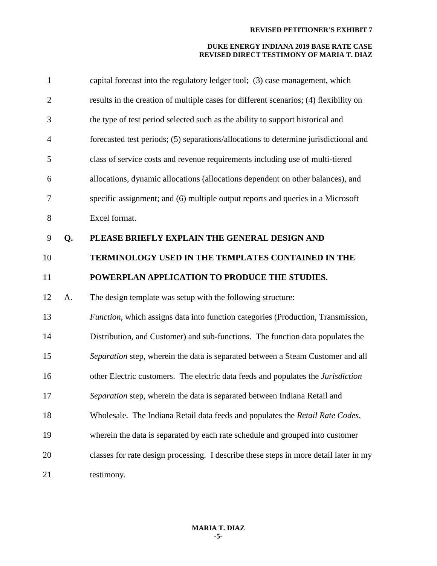| $\mathbf{1}$   |    | capital forecast into the regulatory ledger tool; (3) case management, which          |
|----------------|----|---------------------------------------------------------------------------------------|
| $\mathbf{2}$   |    | results in the creation of multiple cases for different scenarios; (4) flexibility on |
| 3              |    | the type of test period selected such as the ability to support historical and        |
| $\overline{4}$ |    | forecasted test periods; (5) separations/allocations to determine jurisdictional and  |
| 5              |    | class of service costs and revenue requirements including use of multi-tiered         |
| 6              |    | allocations, dynamic allocations (allocations dependent on other balances), and       |
| 7              |    | specific assignment; and (6) multiple output reports and queries in a Microsoft       |
| $8\,$          |    | Excel format.                                                                         |
| 9              | Q. | PLEASE BRIEFLY EXPLAIN THE GENERAL DESIGN AND                                         |
| 10             |    | TERMINOLOGY USED IN THE TEMPLATES CONTAINED IN THE                                    |
| 11             |    | POWERPLAN APPLICATION TO PRODUCE THE STUDIES.                                         |
| 12             | A. | The design template was setup with the following structure:                           |
| 13             |    | Function, which assigns data into function categories (Production, Transmission,      |
| 14             |    | Distribution, and Customer) and sub-functions. The function data populates the        |
| 15             |    | Separation step, wherein the data is separated between a Steam Customer and all       |
| 16             |    | other Electric customers. The electric data feeds and populates the Jurisdiction      |
| 17             |    | Separation step, wherein the data is separated between Indiana Retail and             |
| 18             |    | Wholesale. The Indiana Retail data feeds and populates the Retail Rate Codes,         |
| 19             |    | wherein the data is separated by each rate schedule and grouped into customer         |
| 20             |    | classes for rate design processing. I describe these steps in more detail later in my |
| 21             |    | testimony.                                                                            |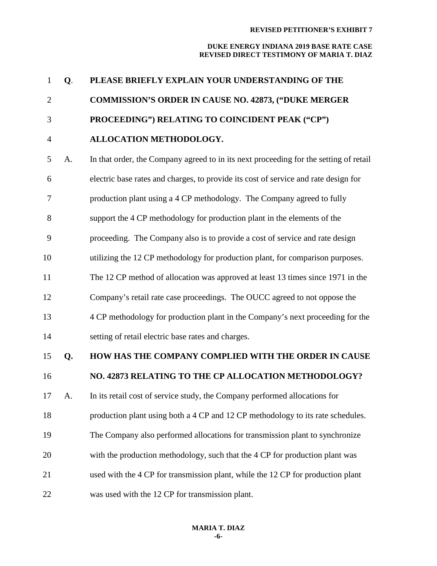| $\mathbf{1}$   | Q. | PLEASE BRIEFLY EXPLAIN YOUR UNDERSTANDING OF THE                                      |  |  |
|----------------|----|---------------------------------------------------------------------------------------|--|--|
| $\overline{2}$ |    | <b>COMMISSION'S ORDER IN CAUSE NO. 42873, ("DUKE MERGER</b>                           |  |  |
| 3              |    | PROCEEDING") RELATING TO COINCIDENT PEAK ("CP")                                       |  |  |
| $\overline{4}$ |    | ALLOCATION METHODOLOGY.                                                               |  |  |
| 5              | A. | In that order, the Company agreed to in its next proceeding for the setting of retail |  |  |
| 6              |    | electric base rates and charges, to provide its cost of service and rate design for   |  |  |
| 7              |    | production plant using a 4 CP methodology. The Company agreed to fully                |  |  |
| 8              |    | support the 4 CP methodology for production plant in the elements of the              |  |  |
| 9              |    | proceeding. The Company also is to provide a cost of service and rate design          |  |  |
| 10             |    | utilizing the 12 CP methodology for production plant, for comparison purposes.        |  |  |
| 11             |    | The 12 CP method of allocation was approved at least 13 times since 1971 in the       |  |  |
| 12             |    | Company's retail rate case proceedings. The OUCC agreed to not oppose the             |  |  |
| 13             |    | 4 CP methodology for production plant in the Company's next proceeding for the        |  |  |
| 14             |    | setting of retail electric base rates and charges.                                    |  |  |
| 15             | Q. | HOW HAS THE COMPANY COMPLIED WITH THE ORDER IN CAUSE                                  |  |  |
| 16             |    | NO. 42873 RELATING TO THE CP ALLOCATION METHODOLOGY?                                  |  |  |
| 17             | A. | In its retail cost of service study, the Company performed allocations for            |  |  |
| 18             |    | production plant using both a 4 CP and 12 CP methodology to its rate schedules.       |  |  |
| 19             |    | The Company also performed allocations for transmission plant to synchronize          |  |  |
| 20             |    | with the production methodology, such that the 4 CP for production plant was          |  |  |
| 21             |    | used with the 4 CP for transmission plant, while the 12 CP for production plant       |  |  |
| 22             |    | was used with the 12 CP for transmission plant.                                       |  |  |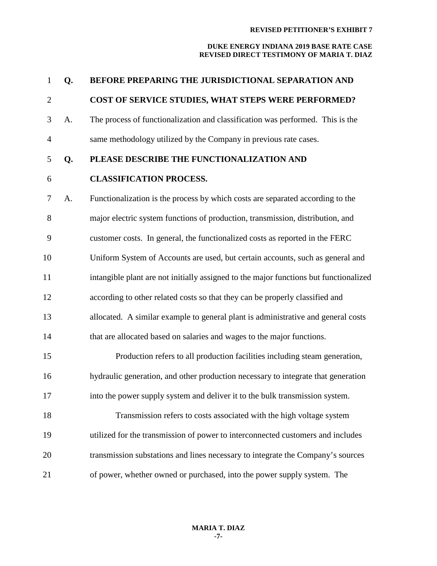| 1              | Q.                                                                                    | BEFORE PREPARING THE JURISDICTIONAL SEPARATION AND                                |  |
|----------------|---------------------------------------------------------------------------------------|-----------------------------------------------------------------------------------|--|
| $\overline{2}$ |                                                                                       | COST OF SERVICE STUDIES, WHAT STEPS WERE PERFORMED?                               |  |
| 3              | A.                                                                                    | The process of functionalization and classification was performed. This is the    |  |
| $\overline{4}$ |                                                                                       | same methodology utilized by the Company in previous rate cases.                  |  |
| 5              | Q.                                                                                    | PLEASE DESCRIBE THE FUNCTIONALIZATION AND                                         |  |
| 6              |                                                                                       | <b>CLASSIFICATION PROCESS.</b>                                                    |  |
| 7              | A.                                                                                    | Functionalization is the process by which costs are separated according to the    |  |
| 8              |                                                                                       | major electric system functions of production, transmission, distribution, and    |  |
| 9              |                                                                                       | customer costs. In general, the functionalized costs as reported in the FERC      |  |
| 10             | Uniform System of Accounts are used, but certain accounts, such as general and        |                                                                                   |  |
| 11             | intangible plant are not initially assigned to the major functions but functionalized |                                                                                   |  |
| 12             |                                                                                       | according to other related costs so that they can be properly classified and      |  |
| 13             |                                                                                       | allocated. A similar example to general plant is administrative and general costs |  |
| 14             |                                                                                       | that are allocated based on salaries and wages to the major functions.            |  |
| 15             |                                                                                       | Production refers to all production facilities including steam generation,        |  |
| 16             |                                                                                       | hydraulic generation, and other production necessary to integrate that generation |  |
| 17             |                                                                                       | into the power supply system and deliver it to the bulk transmission system.      |  |
| 18             |                                                                                       | Transmission refers to costs associated with the high voltage system              |  |
| 19             |                                                                                       | utilized for the transmission of power to interconnected customers and includes   |  |
| 20             |                                                                                       | transmission substations and lines necessary to integrate the Company's sources   |  |
| 21             |                                                                                       | of power, whether owned or purchased, into the power supply system. The           |  |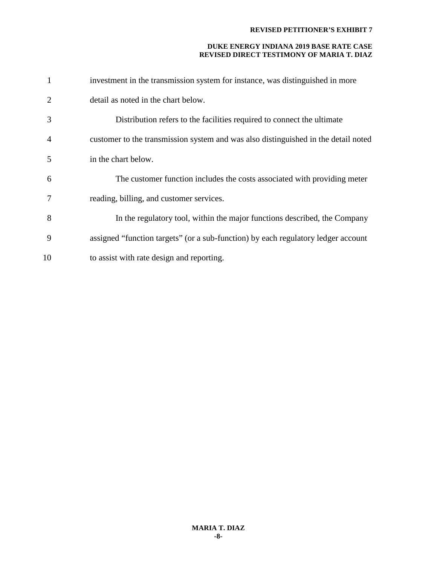| 1              | investment in the transmission system for instance, was distinguished in more      |  |
|----------------|------------------------------------------------------------------------------------|--|
| $\overline{2}$ | detail as noted in the chart below.                                                |  |
| 3              | Distribution refers to the facilities required to connect the ultimate             |  |
| $\overline{4}$ | customer to the transmission system and was also distinguished in the detail noted |  |
| 5              | in the chart below.                                                                |  |
| 6              | The customer function includes the costs associated with providing meter           |  |
| 7              | reading, billing, and customer services.                                           |  |
| 8              | In the regulatory tool, within the major functions described, the Company          |  |
| 9              | assigned "function targets" (or a sub-function) by each regulatory ledger account  |  |
| 10             | to assist with rate design and reporting.                                          |  |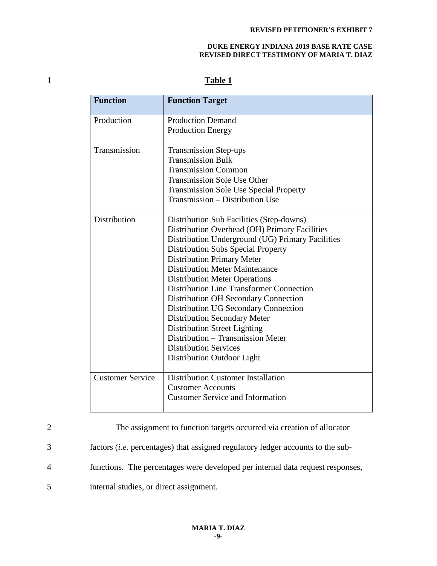# 1 **Table 1**

| <b>Function</b>         | <b>Function Target</b>                           |  |
|-------------------------|--------------------------------------------------|--|
| Production              | <b>Production Demand</b>                         |  |
|                         | <b>Production Energy</b>                         |  |
| Transmission            | <b>Transmission Step-ups</b>                     |  |
|                         | <b>Transmission Bulk</b>                         |  |
|                         | <b>Transmission Common</b>                       |  |
|                         | <b>Transmission Sole Use Other</b>               |  |
|                         | <b>Transmission Sole Use Special Property</b>    |  |
|                         | Transmission – Distribution Use                  |  |
| Distribution            | Distribution Sub Facilities (Step-downs)         |  |
|                         | Distribution Overhead (OH) Primary Facilities    |  |
|                         | Distribution Underground (UG) Primary Facilities |  |
|                         | <b>Distribution Subs Special Property</b>        |  |
|                         | <b>Distribution Primary Meter</b>                |  |
|                         | <b>Distribution Meter Maintenance</b>            |  |
|                         | <b>Distribution Meter Operations</b>             |  |
|                         | <b>Distribution Line Transformer Connection</b>  |  |
|                         | <b>Distribution OH Secondary Connection</b>      |  |
|                         | Distribution UG Secondary Connection             |  |
|                         | <b>Distribution Secondary Meter</b>              |  |
|                         | <b>Distribution Street Lighting</b>              |  |
|                         | Distribution – Transmission Meter                |  |
|                         | <b>Distribution Services</b>                     |  |
|                         | Distribution Outdoor Light                       |  |
| <b>Customer Service</b> | <b>Distribution Customer Installation</b>        |  |
|                         | <b>Customer Accounts</b>                         |  |
|                         | <b>Customer Service and Information</b>          |  |

|                | The assignment to function targets occurred via creation of allocator                  |
|----------------|----------------------------------------------------------------------------------------|
| 3              | factors <i>(i.e.</i> percentages) that assigned regulatory ledger accounts to the sub- |
| $\overline{4}$ | functions. The percentages were developed per internal data request responses,         |

5 internal studies, or direct assignment.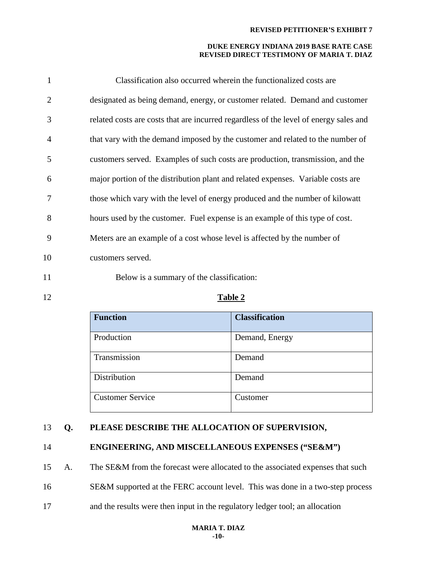#### **DUKE ENERGY INDIANA 2019 BASE RATE CASE REVISED DIRECT TESTIMONY OF MARIA T. DIAZ**

| 1              | Classification also occurred wherein the functionalized costs are                     |
|----------------|---------------------------------------------------------------------------------------|
| 2              | designated as being demand, energy, or customer related. Demand and customer          |
| 3              | related costs are costs that are incurred regardless of the level of energy sales and |
| $\overline{4}$ | that vary with the demand imposed by the customer and related to the number of        |
| 5              | customers served. Examples of such costs are production, transmission, and the        |
| 6              | major portion of the distribution plant and related expenses. Variable costs are      |
| 7              | those which vary with the level of energy produced and the number of kilowatt         |
| 8              | hours used by the customer. Fuel expense is an example of this type of cost.          |
| 9              | Meters are an example of a cost whose level is affected by the number of              |
| 10             | customers served.                                                                     |
|                |                                                                                       |

11 Below is a summary of the classification:

## 12 **Table 2**

| <b>Function</b>         | <b>Classification</b> |
|-------------------------|-----------------------|
| Production              | Demand, Energy        |
| Transmission            | Demand                |
| Distribution            | Demand                |
| <b>Customer Service</b> | Customer              |

## 13 **Q. PLEASE DESCRIBE THE ALLOCATION OF SUPERVISION,**

## 14 **ENGINEERING, AND MISCELLANEOUS EXPENSES ("SE&M")**

15 A. The SE&M from the forecast were allocated to the associated expenses that such

16 SE&M supported at the FERC account level. This was done in a two-step process

17 and the results were then input in the regulatory ledger tool; an allocation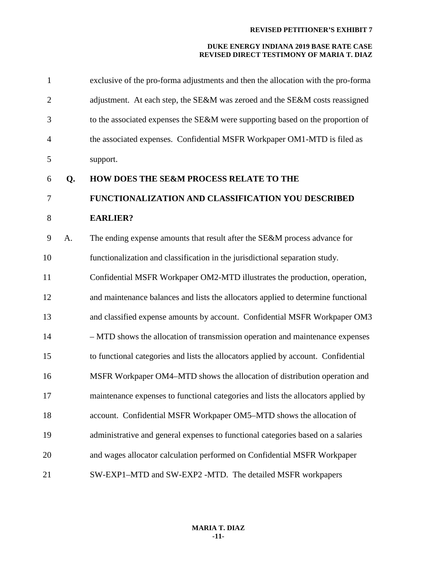| $\mathbf{1}$   |    | exclusive of the pro-forma adjustments and then the allocation with the pro-forma  |
|----------------|----|------------------------------------------------------------------------------------|
| $\overline{2}$ |    | adjustment. At each step, the SE&M was zeroed and the SE&M costs reassigned        |
| 3              |    | to the associated expenses the SE&M were supporting based on the proportion of     |
| $\overline{4}$ |    | the associated expenses. Confidential MSFR Workpaper OM1-MTD is filed as           |
| 5              |    | support.                                                                           |
| 6              | Q. | HOW DOES THE SE&M PROCESS RELATE TO THE                                            |
| 7              |    | FUNCTIONALIZATION AND CLASSIFICATION YOU DESCRIBED                                 |
| 8              |    | <b>EARLIER?</b>                                                                    |
| 9              | A. | The ending expense amounts that result after the SE&M process advance for          |
| 10             |    | functionalization and classification in the jurisdictional separation study.       |
| 11             |    | Confidential MSFR Workpaper OM2-MTD illustrates the production, operation,         |
| 12             |    | and maintenance balances and lists the allocators applied to determine functional  |
| 13             |    | and classified expense amounts by account. Confidential MSFR Workpaper OM3         |
| 14             |    | - MTD shows the allocation of transmission operation and maintenance expenses      |
| 15             |    | to functional categories and lists the allocators applied by account. Confidential |
| 16             |    | MSFR Workpaper OM4-MTD shows the allocation of distribution operation and          |
| 17             |    | maintenance expenses to functional categories and lists the allocators applied by  |
| 18             |    | account. Confidential MSFR Workpaper OM5–MTD shows the allocation of               |
| 19             |    | administrative and general expenses to functional categories based on a salaries   |
| 20             |    | and wages allocator calculation performed on Confidential MSFR Workpaper           |
| 21             |    | SW-EXP1-MTD and SW-EXP2 -MTD. The detailed MSFR workpapers                         |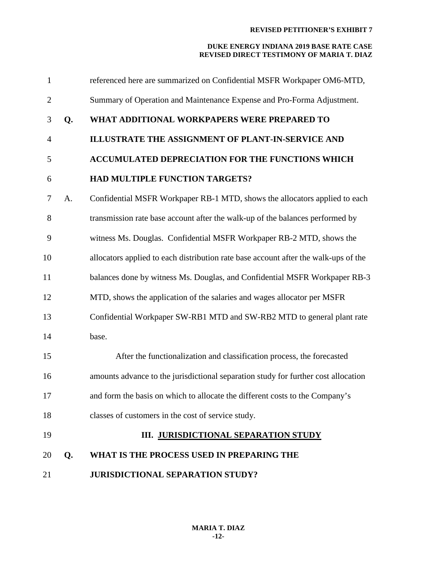| $\mathbf{1}$   |    | referenced here are summarized on Confidential MSFR Workpaper OM6-MTD,              |
|----------------|----|-------------------------------------------------------------------------------------|
| $\overline{2}$ |    | Summary of Operation and Maintenance Expense and Pro-Forma Adjustment.              |
| 3              | Q. | WHAT ADDITIONAL WORKPAPERS WERE PREPARED TO                                         |
| $\overline{4}$ |    | ILLUSTRATE THE ASSIGNMENT OF PLANT-IN-SERVICE AND                                   |
| 5              |    | <b>ACCUMULATED DEPRECIATION FOR THE FUNCTIONS WHICH</b>                             |
| 6              |    | HAD MULTIPLE FUNCTION TARGETS?                                                      |
| 7              | A. | Confidential MSFR Workpaper RB-1 MTD, shows the allocators applied to each          |
| 8              |    | transmission rate base account after the walk-up of the balances performed by       |
| 9              |    | witness Ms. Douglas. Confidential MSFR Workpaper RB-2 MTD, shows the                |
| 10             |    | allocators applied to each distribution rate base account after the walk-ups of the |
| 11             |    | balances done by witness Ms. Douglas, and Confidential MSFR Workpaper RB-3          |
| 12             |    | MTD, shows the application of the salaries and wages allocator per MSFR             |
| 13             |    | Confidential Workpaper SW-RB1 MTD and SW-RB2 MTD to general plant rate              |
| 14             |    | base.                                                                               |
| 15             |    | After the functionalization and classification process, the forecasted              |
| 16             |    | amounts advance to the jurisdictional separation study for further cost allocation  |
| 17             |    | and form the basis on which to allocate the different costs to the Company's        |
| 18             |    | classes of customers in the cost of service study.                                  |
| 19             |    | <b>III. JURISDICTIONAL SEPARATION STUDY</b>                                         |
| 20             | Q. | WHAT IS THE PROCESS USED IN PREPARING THE                                           |
| 21             |    | <b>JURISDICTIONAL SEPARATION STUDY?</b>                                             |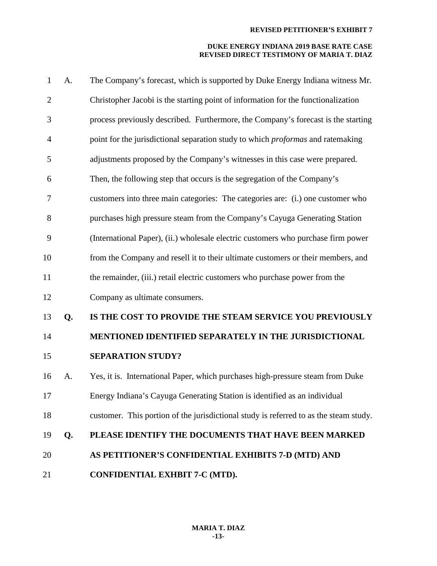| $\mathbf{1}$   | A. | The Company's forecast, which is supported by Duke Energy Indiana witness Mr.          |
|----------------|----|----------------------------------------------------------------------------------------|
| $\overline{2}$ |    | Christopher Jacobi is the starting point of information for the functionalization      |
| 3              |    | process previously described. Furthermore, the Company's forecast is the starting      |
| $\overline{4}$ |    | point for the jurisdictional separation study to which <i>proformas</i> and ratemaking |
| 5              |    | adjustments proposed by the Company's witnesses in this case were prepared.            |
| 6              |    | Then, the following step that occurs is the segregation of the Company's               |
| 7              |    | customers into three main categories: The categories are: (i.) one customer who        |
| 8              |    | purchases high pressure steam from the Company's Cayuga Generating Station             |
| 9              |    | (International Paper), (ii.) wholesale electric customers who purchase firm power      |
| 10             |    | from the Company and resell it to their ultimate customers or their members, and       |
| 11             |    | the remainder, (iii.) retail electric customers who purchase power from the            |
| 12             |    | Company as ultimate consumers.                                                         |
| 13             | Q. | IS THE COST TO PROVIDE THE STEAM SERVICE YOU PREVIOUSLY                                |
| 14             |    | MENTIONED IDENTIFIED SEPARATELY IN THE JURISDICTIONAL                                  |
| 15             |    | <b>SEPARATION STUDY?</b>                                                               |
| 16             | A. | Yes, it is. International Paper, which purchases high-pressure steam from Duke         |
| 17             |    | Energy Indiana's Cayuga Generating Station is identified as an individual              |
| 18             |    | customer. This portion of the jurisdictional study is referred to as the steam study.  |
| 19             | Q. | PLEASE IDENTIFY THE DOCUMENTS THAT HAVE BEEN MARKED                                    |
| 20             |    | AS PETITIONER'S CONFIDENTIAL EXHIBITS 7-D (MTD) AND                                    |
| 21             |    | CONFIDENTIAL EXHBIT 7-C (MTD).                                                         |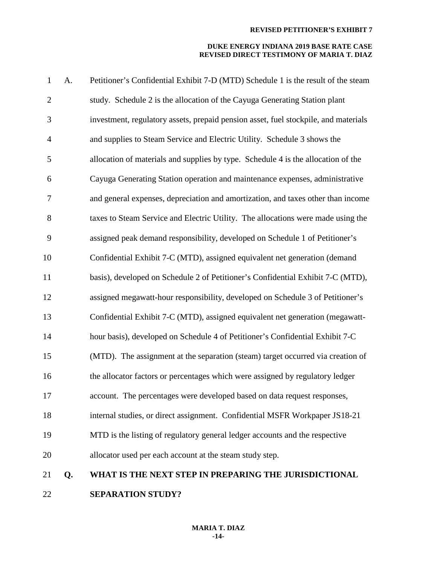## **DUKE ENERGY INDIANA 2019 BASE RATE CASE REVISED DIRECT TESTIMONY OF MARIA T. DIAZ**

| $\mathbf{1}$     | A. | Petitioner's Confidential Exhibit 7-D (MTD) Schedule 1 is the result of the steam   |
|------------------|----|-------------------------------------------------------------------------------------|
| $\mathbf{2}$     |    | study. Schedule 2 is the allocation of the Cayuga Generating Station plant          |
| $\mathfrak{Z}$   |    | investment, regulatory assets, prepaid pension asset, fuel stockpile, and materials |
| $\overline{4}$   |    | and supplies to Steam Service and Electric Utility. Schedule 3 shows the            |
| 5                |    | allocation of materials and supplies by type. Schedule 4 is the allocation of the   |
| 6                |    | Cayuga Generating Station operation and maintenance expenses, administrative        |
| $\boldsymbol{7}$ |    | and general expenses, depreciation and amortization, and taxes other than income    |
| 8                |    | taxes to Steam Service and Electric Utility. The allocations were made using the    |
| 9                |    | assigned peak demand responsibility, developed on Schedule 1 of Petitioner's        |
| 10               |    | Confidential Exhibit 7-C (MTD), assigned equivalent net generation (demand          |
| 11               |    | basis), developed on Schedule 2 of Petitioner's Confidential Exhibit 7-C (MTD),     |
| 12               |    | assigned megawatt-hour responsibility, developed on Schedule 3 of Petitioner's      |
| 13               |    | Confidential Exhibit 7-C (MTD), assigned equivalent net generation (megawatt-       |
| 14               |    | hour basis), developed on Schedule 4 of Petitioner's Confidential Exhibit 7-C       |
| 15               |    | (MTD). The assignment at the separation (steam) target occurred via creation of     |
| 16               |    | the allocator factors or percentages which were assigned by regulatory ledger       |
| 17               |    | account. The percentages were developed based on data request responses,            |
| 18               |    | internal studies, or direct assignment. Confidential MSFR Workpaper JS18-21         |
| 19               |    | MTD is the listing of regulatory general ledger accounts and the respective         |
| 20               |    | allocator used per each account at the steam study step.                            |
| 21               | Q. | WHAT IS THE NEXT STEP IN PREPARING THE JURISDICTIONAL                               |
|                  |    |                                                                                     |

**SEPARATION STUDY?**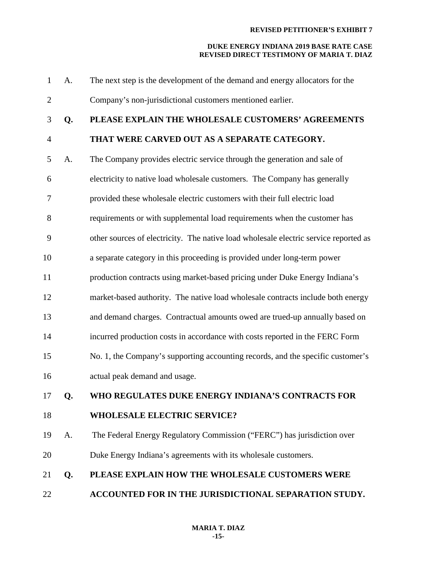| $\mathbf{1}$   | A. | The next step is the development of the demand and energy allocators for the         |
|----------------|----|--------------------------------------------------------------------------------------|
| $\overline{2}$ |    | Company's non-jurisdictional customers mentioned earlier.                            |
| 3              | Q. | PLEASE EXPLAIN THE WHOLESALE CUSTOMERS' AGREEMENTS                                   |
| $\overline{4}$ |    | THAT WERE CARVED OUT AS A SEPARATE CATEGORY.                                         |
| 5              | A. | The Company provides electric service through the generation and sale of             |
| 6              |    | electricity to native load wholesale customers. The Company has generally            |
| 7              |    | provided these wholesale electric customers with their full electric load            |
| 8              |    | requirements or with supplemental load requirements when the customer has            |
| 9              |    | other sources of electricity. The native load wholesale electric service reported as |
| 10             |    | a separate category in this proceeding is provided under long-term power             |
| 11             |    | production contracts using market-based pricing under Duke Energy Indiana's          |
| 12             |    | market-based authority. The native load wholesale contracts include both energy      |
| 13             |    | and demand charges. Contractual amounts owed are trued-up annually based on          |
| 14             |    | incurred production costs in accordance with costs reported in the FERC Form         |
| 15             |    | No. 1, the Company's supporting accounting records, and the specific customer's      |
| 16             |    | actual peak demand and usage.                                                        |
| 17             | Q. | WHO REGULATES DUKE ENERGY INDIANA'S CONTRACTS FOR                                    |
| 18             |    | <b>WHOLESALE ELECTRIC SERVICE?</b>                                                   |
| 19             | A. | The Federal Energy Regulatory Commission ("FERC") has jurisdiction over              |
| 20             |    | Duke Energy Indiana's agreements with its wholesale customers.                       |
| 21             | Q. | PLEASE EXPLAIN HOW THE WHOLESALE CUSTOMERS WERE                                      |
| 22             |    | ACCOUNTED FOR IN THE JURISDICTIONAL SEPARATION STUDY.                                |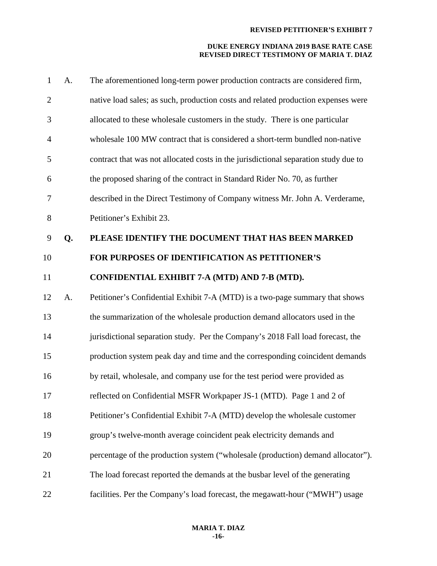| $\mathbf{1}$   | A. | The aforementioned long-term power production contracts are considered firm,        |
|----------------|----|-------------------------------------------------------------------------------------|
| $\overline{2}$ |    | native load sales; as such, production costs and related production expenses were   |
| 3              |    | allocated to these wholesale customers in the study. There is one particular        |
| $\overline{4}$ |    | wholesale 100 MW contract that is considered a short-term bundled non-native        |
| 5              |    | contract that was not allocated costs in the jurisdictional separation study due to |
| 6              |    | the proposed sharing of the contract in Standard Rider No. 70, as further           |
| 7              |    | described in the Direct Testimony of Company witness Mr. John A. Verderame,         |
| 8              |    | Petitioner's Exhibit 23.                                                            |
| 9              | Q. | PLEASE IDENTIFY THE DOCUMENT THAT HAS BEEN MARKED                                   |
| 10             |    | FOR PURPOSES OF IDENTIFICATION AS PETITIONER'S                                      |
| 11             |    | CONFIDENTIAL EXHIBIT 7-A (MTD) AND 7-B (MTD).                                       |
| 12             | A. | Petitioner's Confidential Exhibit 7-A (MTD) is a two-page summary that shows        |
| 13             |    | the summarization of the wholesale production demand allocators used in the         |
| 14             |    | jurisdictional separation study. Per the Company's 2018 Fall load forecast, the     |
| 15             |    | production system peak day and time and the corresponding coincident demands        |
| 16             |    | by retail, wholesale, and company use for the test period were provided as          |
| 17             |    | reflected on Confidential MSFR Workpaper JS-1 (MTD). Page 1 and 2 of                |
| 18             |    | Petitioner's Confidential Exhibit 7-A (MTD) develop the wholesale customer          |
| 19             |    | group's twelve-month average coincident peak electricity demands and                |
| 20             |    | percentage of the production system ("wholesale (production) demand allocator").    |
| 21             |    | The load forecast reported the demands at the busbar level of the generating        |
| 22             |    | facilities. Per the Company's load forecast, the megawatt-hour ("MWH") usage        |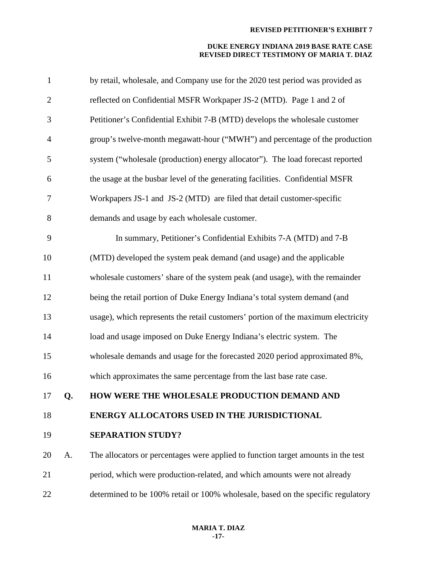| $\mathbf{1}$     |    | by retail, wholesale, and Company use for the 2020 test period was provided as    |
|------------------|----|-----------------------------------------------------------------------------------|
| $\overline{2}$   |    | reflected on Confidential MSFR Workpaper JS-2 (MTD). Page 1 and 2 of              |
| 3                |    | Petitioner's Confidential Exhibit 7-B (MTD) develops the wholesale customer       |
| $\overline{4}$   |    | group's twelve-month megawatt-hour ("MWH") and percentage of the production       |
| 5                |    | system ("wholesale (production) energy allocator"). The load forecast reported    |
| 6                |    | the usage at the busbar level of the generating facilities. Confidential MSFR     |
| $\boldsymbol{7}$ |    | Workpapers JS-1 and JS-2 (MTD) are filed that detail customer-specific            |
| 8                |    | demands and usage by each wholesale customer.                                     |
| 9                |    | In summary, Petitioner's Confidential Exhibits 7-A (MTD) and 7-B                  |
| 10               |    | (MTD) developed the system peak demand (and usage) and the applicable             |
| 11               |    | wholesale customers' share of the system peak (and usage), with the remainder     |
| 12               |    | being the retail portion of Duke Energy Indiana's total system demand (and        |
| 13               |    | usage), which represents the retail customers' portion of the maximum electricity |
| 14               |    | load and usage imposed on Duke Energy Indiana's electric system. The              |
| 15               |    | wholesale demands and usage for the forecasted 2020 period approximated 8%,       |
| 16               |    | which approximates the same percentage from the last base rate case.              |
| 17               | Q. | HOW WERE THE WHOLESALE PRODUCTION DEMAND AND                                      |
| 18               |    | ENERGY ALLOCATORS USED IN THE JURISDICTIONAL                                      |
| 19               |    | <b>SEPARATION STUDY?</b>                                                          |
| 20               | A. | The allocators or percentages were applied to function target amounts in the test |
| 21               |    | period, which were production-related, and which amounts were not already         |
| 22               |    | determined to be 100% retail or 100% wholesale, based on the specific regulatory  |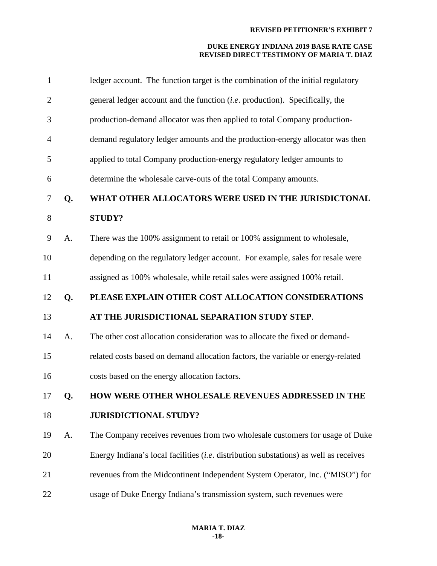| $\mathbf{1}$   |    | ledger account. The function target is the combination of the initial regulatory             |
|----------------|----|----------------------------------------------------------------------------------------------|
| $\overline{2}$ |    | general ledger account and the function (i.e. production). Specifically, the                 |
| 3              |    | production-demand allocator was then applied to total Company production-                    |
| 4              |    | demand regulatory ledger amounts and the production-energy allocator was then                |
| 5              |    | applied to total Company production-energy regulatory ledger amounts to                      |
| 6              |    | determine the wholesale carve-outs of the total Company amounts.                             |
| 7              | Q. | WHAT OTHER ALLOCATORS WERE USED IN THE JURISDICTONAL                                         |
| 8              |    | <b>STUDY?</b>                                                                                |
| 9              | A. | There was the 100% assignment to retail or 100% assignment to wholesale,                     |
| 10             |    | depending on the regulatory ledger account. For example, sales for resale were               |
| 11             |    | assigned as 100% wholesale, while retail sales were assigned 100% retail.                    |
| 12             | Q. | PLEASE EXPLAIN OTHER COST ALLOCATION CONSIDERATIONS                                          |
|                |    |                                                                                              |
| 13             |    | AT THE JURISDICTIONAL SEPARATION STUDY STEP.                                                 |
| 14             | A. | The other cost allocation consideration was to allocate the fixed or demand-                 |
| 15             |    | related costs based on demand allocation factors, the variable or energy-related             |
| 16             |    | costs based on the energy allocation factors.                                                |
| 17             | Q. | HOW WERE OTHER WHOLESALE REVENUES ADDRESSED IN THE                                           |
| 18             |    | <b>JURISDICTIONAL STUDY?</b>                                                                 |
| 19             | A. | The Company receives revenues from two wholesale customers for usage of Duke                 |
| 20             |    | Energy Indiana's local facilities <i>(i.e.</i> distribution substations) as well as receives |
| 21             |    | revenues from the Midcontinent Independent System Operator, Inc. ("MISO") for                |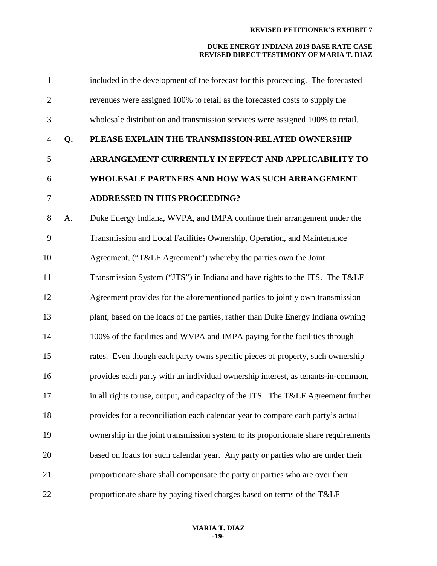| $\mathbf{1}$     |    | included in the development of the forecast for this proceeding. The forecasted    |
|------------------|----|------------------------------------------------------------------------------------|
| $\overline{2}$   |    | revenues were assigned 100% to retail as the forecasted costs to supply the        |
| 3                |    | wholesale distribution and transmission services were assigned 100% to retail.     |
| $\overline{4}$   | Q. | PLEASE EXPLAIN THE TRANSMISSION-RELATED OWNERSHIP                                  |
| 5                |    | ARRANGEMENT CURRENTLY IN EFFECT AND APPLICABILITY TO                               |
| 6                |    | WHOLESALE PARTNERS AND HOW WAS SUCH ARRANGEMENT                                    |
| $\boldsymbol{7}$ |    | <b>ADDRESSED IN THIS PROCEEDING?</b>                                               |
| 8                | A. | Duke Energy Indiana, WVPA, and IMPA continue their arrangement under the           |
| 9                |    | Transmission and Local Facilities Ownership, Operation, and Maintenance            |
| 10               |    | Agreement, ("T&LF Agreement") whereby the parties own the Joint                    |
| 11               |    | Transmission System ("JTS") in Indiana and have rights to the JTS. The T&LF        |
| 12               |    | Agreement provides for the aforementioned parties to jointly own transmission      |
| 13               |    | plant, based on the loads of the parties, rather than Duke Energy Indiana owning   |
| 14               |    | 100% of the facilities and WVPA and IMPA paying for the facilities through         |
| 15               |    | rates. Even though each party owns specific pieces of property, such ownership     |
| 16               |    | provides each party with an individual ownership interest, as tenants-in-common,   |
| 17               |    | in all rights to use, output, and capacity of the JTS. The T&LF Agreement further  |
| 18               |    | provides for a reconciliation each calendar year to compare each party's actual    |
| 19               |    | ownership in the joint transmission system to its proportionate share requirements |
| 20               |    | based on loads for such calendar year. Any party or parties who are under their    |
| 21               |    | proportionate share shall compensate the party or parties who are over their       |
| 22               |    | proportionate share by paying fixed charges based on terms of the T&LF             |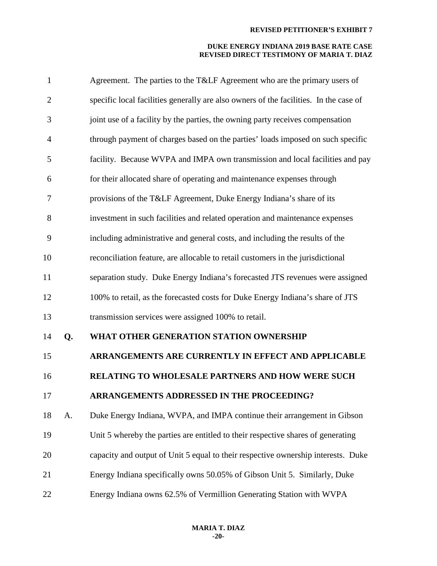| $\mathbf{1}$   |    | Agreement. The parties to the T&LF Agreement who are the primary users of             |
|----------------|----|---------------------------------------------------------------------------------------|
| $\overline{2}$ |    | specific local facilities generally are also owners of the facilities. In the case of |
| 3              |    | joint use of a facility by the parties, the owning party receives compensation        |
| $\overline{4}$ |    | through payment of charges based on the parties' loads imposed on such specific       |
| 5              |    | facility. Because WVPA and IMPA own transmission and local facilities and pay         |
| 6              |    | for their allocated share of operating and maintenance expenses through               |
| 7              |    | provisions of the T&LF Agreement, Duke Energy Indiana's share of its                  |
| 8              |    | investment in such facilities and related operation and maintenance expenses          |
| 9              |    | including administrative and general costs, and including the results of the          |
| 10             |    | reconciliation feature, are allocable to retail customers in the jurisdictional       |
| 11             |    | separation study. Duke Energy Indiana's forecasted JTS revenues were assigned         |
| 12             |    | 100% to retail, as the forecasted costs for Duke Energy Indiana's share of JTS        |
| 13             |    | transmission services were assigned 100% to retail.                                   |
| 14             | Q. | WHAT OTHER GENERATION STATION OWNERSHIP                                               |
| 15             |    | ARRANGEMENTS ARE CURRENTLY IN EFFECT AND APPLICABLE                                   |
| 16             |    | RELATING TO WHOLESALE PARTNERS AND HOW WERE SUCH                                      |
| 17             |    | ARRANGEMENTS ADDRESSED IN THE PROCEEDING?                                             |
| 18             | A. | Duke Energy Indiana, WVPA, and IMPA continue their arrangement in Gibson              |
| 19             |    | Unit 5 whereby the parties are entitled to their respective shares of generating      |
| 20             |    | capacity and output of Unit 5 equal to their respective ownership interests. Duke     |
| 21             |    | Energy Indiana specifically owns 50.05% of Gibson Unit 5. Similarly, Duke             |
| 22             |    | Energy Indiana owns 62.5% of Vermillion Generating Station with WVPA                  |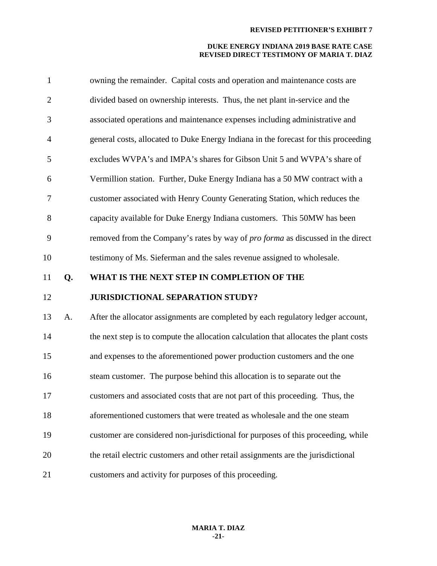| $\mathbf{1}$   |    | owning the remainder. Capital costs and operation and maintenance costs are            |
|----------------|----|----------------------------------------------------------------------------------------|
| $\overline{2}$ |    | divided based on ownership interests. Thus, the net plant in-service and the           |
| 3              |    | associated operations and maintenance expenses including administrative and            |
| $\overline{4}$ |    | general costs, allocated to Duke Energy Indiana in the forecast for this proceeding    |
| 5              |    | excludes WVPA's and IMPA's shares for Gibson Unit 5 and WVPA's share of                |
| 6              |    | Vermillion station. Further, Duke Energy Indiana has a 50 MW contract with a           |
| 7              |    | customer associated with Henry County Generating Station, which reduces the            |
| 8              |    | capacity available for Duke Energy Indiana customers. This 50MW has been               |
| 9              |    | removed from the Company's rates by way of <i>pro forma</i> as discussed in the direct |
| 10             |    | testimony of Ms. Sieferman and the sales revenue assigned to wholesale.                |
|                |    |                                                                                        |
| 11             | Q. | WHAT IS THE NEXT STEP IN COMPLETION OF THE                                             |
| 12             |    | <b>JURISDICTIONAL SEPARATION STUDY?</b>                                                |
| 13             | A. | After the allocator assignments are completed by each regulatory ledger account,       |
| 14             |    | the next step is to compute the allocation calculation that allocates the plant costs  |
| 15             |    | and expenses to the aforementioned power production customers and the one              |
| 16             |    | steam customer. The purpose behind this allocation is to separate out the              |
| 17             |    | customers and associated costs that are not part of this proceeding. Thus, the         |
| 18             |    | aforementioned customers that were treated as wholesale and the one steam              |
| 19             |    | customer are considered non-jurisdictional for purposes of this proceeding, while      |
| 20             |    | the retail electric customers and other retail assignments are the jurisdictional      |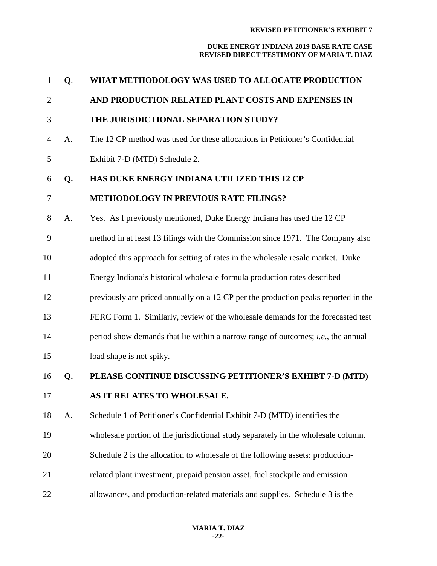| $\mathbf{1}$   | Q. | WHAT METHODOLOGY WAS USED TO ALLOCATE PRODUCTION                                         |
|----------------|----|------------------------------------------------------------------------------------------|
| $\overline{2}$ |    | AND PRODUCTION RELATED PLANT COSTS AND EXPENSES IN                                       |
| 3              |    | THE JURISDICTIONAL SEPARATION STUDY?                                                     |
| 4              | A. | The 12 CP method was used for these allocations in Petitioner's Confidential             |
| 5              |    | Exhibit 7-D (MTD) Schedule 2.                                                            |
| 6              | Q. | HAS DUKE ENERGY INDIANA UTILIZED THIS 12 CP                                              |
| 7              |    | <b>METHODOLOGY IN PREVIOUS RATE FILINGS?</b>                                             |
| 8              | A. | Yes. As I previously mentioned, Duke Energy Indiana has used the 12 CP                   |
| 9              |    | method in at least 13 filings with the Commission since 1971. The Company also           |
| 10             |    | adopted this approach for setting of rates in the wholesale resale market. Duke          |
| 11             |    | Energy Indiana's historical wholesale formula production rates described                 |
| 12             |    | previously are priced annually on a 12 CP per the production peaks reported in the       |
| 13             |    | FERC Form 1. Similarly, review of the wholesale demands for the forecasted test          |
| 14             |    | period show demands that lie within a narrow range of outcomes; <i>i.e.</i> , the annual |
| 15             |    | load shape is not spiky.                                                                 |
| 16             | Q. | PLEASE CONTINUE DISCUSSING PETITIONER'S EXHIBT 7-D (MTD)                                 |
| 17             |    | <b>AS IT RELATES TO WHOLESALE.</b>                                                       |
| 18             | A. | Schedule 1 of Petitioner's Confidential Exhibit 7-D (MTD) identifies the                 |
| 19             |    | wholesale portion of the jurisdictional study separately in the wholesale column.        |
| 20             |    | Schedule 2 is the allocation to wholesale of the following assets: production-           |
| 21             |    | related plant investment, prepaid pension asset, fuel stockpile and emission             |
| 22             |    | allowances, and production-related materials and supplies. Schedule 3 is the             |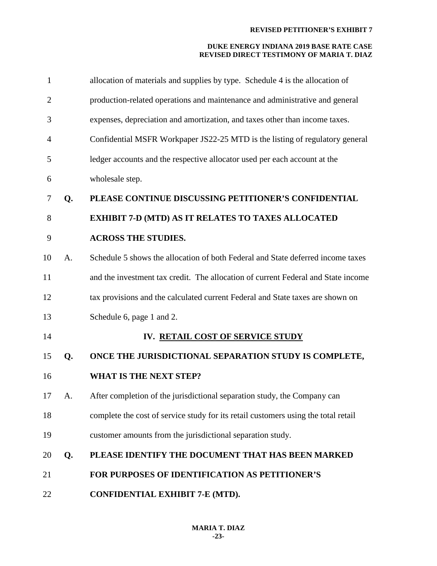| $\mathbf{1}$   |    | allocation of materials and supplies by type. Schedule 4 is the allocation of      |
|----------------|----|------------------------------------------------------------------------------------|
| $\overline{2}$ |    | production-related operations and maintenance and administrative and general       |
| 3              |    | expenses, depreciation and amortization, and taxes other than income taxes.        |
| 4              |    | Confidential MSFR Workpaper JS22-25 MTD is the listing of regulatory general       |
| 5              |    | ledger accounts and the respective allocator used per each account at the          |
| 6              |    | wholesale step.                                                                    |
| 7              | Q. | PLEASE CONTINUE DISCUSSING PETITIONER'S CONFIDENTIAL                               |
| 8              |    | <b>EXHIBIT 7-D (MTD) AS IT RELATES TO TAXES ALLOCATED</b>                          |
| 9              |    | <b>ACROSS THE STUDIES.</b>                                                         |
| 10             | A. | Schedule 5 shows the allocation of both Federal and State deferred income taxes    |
| 11             |    | and the investment tax credit. The allocation of current Federal and State income  |
| 12             |    | tax provisions and the calculated current Federal and State taxes are shown on     |
| 13             |    | Schedule 6, page 1 and 2.                                                          |
| 14             |    | IV. RETAIL COST OF SERVICE STUDY                                                   |
| 15             | Q. | ONCE THE JURISDICTIONAL SEPARATION STUDY IS COMPLETE,                              |
| 16             |    | <b>WHAT IS THE NEXT STEP?</b>                                                      |
| 17             | A. | After completion of the jurisdictional separation study, the Company can           |
| 18             |    | complete the cost of service study for its retail customers using the total retail |
| 19             |    | customer amounts from the jurisdictional separation study.                         |
| 20             | Q. | PLEASE IDENTIFY THE DOCUMENT THAT HAS BEEN MARKED                                  |
| 21             |    | <b>FOR PURPOSES OF IDENTIFICATION AS PETITIONER'S</b>                              |
| 22             |    | CONFIDENTIAL EXHIBIT 7-E (MTD).                                                    |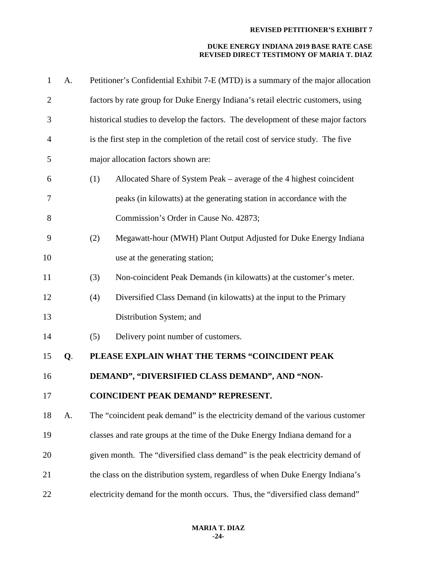| $\mathbf{1}$   | A. |     | Petitioner's Confidential Exhibit 7-E (MTD) is a summary of the major allocation  |
|----------------|----|-----|-----------------------------------------------------------------------------------|
| $\overline{2}$ |    |     | factors by rate group for Duke Energy Indiana's retail electric customers, using  |
| 3              |    |     | historical studies to develop the factors. The development of these major factors |
| 4              |    |     | is the first step in the completion of the retail cost of service study. The five |
| 5              |    |     | major allocation factors shown are:                                               |
| 6              |    | (1) | Allocated Share of System Peak – average of the 4 highest coincident              |
| 7              |    |     | peaks (in kilowatts) at the generating station in accordance with the             |
| 8              |    |     | Commission's Order in Cause No. 42873;                                            |
| 9              |    | (2) | Megawatt-hour (MWH) Plant Output Adjusted for Duke Energy Indiana                 |
| 10             |    |     | use at the generating station;                                                    |
| 11             |    | (3) | Non-coincident Peak Demands (in kilowatts) at the customer's meter.               |
| 12             |    | (4) | Diversified Class Demand (in kilowatts) at the input to the Primary               |
| 13             |    |     | Distribution System; and                                                          |
| 14             |    | (5) | Delivery point number of customers.                                               |
| 15             | Q. |     | PLEASE EXPLAIN WHAT THE TERMS "COINCIDENT PEAK                                    |
| 16             |    |     | DEMAND", "DIVERSIFIED CLASS DEMAND", AND "NON-                                    |
| 17             |    |     | <b>COINCIDENT PEAK DEMAND" REPRESENT.</b>                                         |
| 18             | A. |     | The "coincident peak demand" is the electricity demand of the various customer    |
| 19             |    |     | classes and rate groups at the time of the Duke Energy Indiana demand for a       |
| 20             |    |     | given month. The "diversified class demand" is the peak electricity demand of     |
| 21             |    |     | the class on the distribution system, regardless of when Duke Energy Indiana's    |
| 22             |    |     | electricity demand for the month occurs. Thus, the "diversified class demand"     |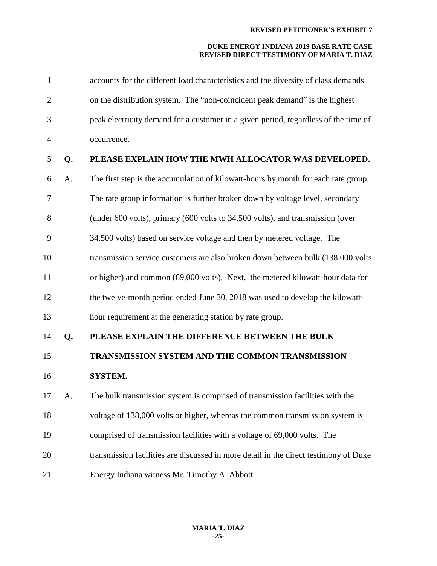| $\mathbf{1}$   |    | accounts for the different load characteristics and the diversity of class demands   |
|----------------|----|--------------------------------------------------------------------------------------|
| $\overline{2}$ |    | on the distribution system. The "non-coincident peak demand" is the highest          |
| 3              |    | peak electricity demand for a customer in a given period, regardless of the time of  |
| $\overline{4}$ |    | occurrence.                                                                          |
| 5              | Q. | PLEASE EXPLAIN HOW THE MWH ALLOCATOR WAS DEVELOPED.                                  |
| 6              | A. | The first step is the accumulation of kilowatt-hours by month for each rate group.   |
| 7              |    | The rate group information is further broken down by voltage level, secondary        |
| 8              |    | (under 600 volts), primary (600 volts to 34,500 volts), and transmission (over       |
| 9              |    | 34,500 volts) based on service voltage and then by metered voltage. The              |
| 10             |    | transmission service customers are also broken down between bulk (138,000 volts      |
| 11             |    | or higher) and common (69,000 volts). Next, the metered kilowatt-hour data for       |
| 12             |    | the twelve-month period ended June 30, 2018 was used to develop the kilowatt-        |
| 13             |    | hour requirement at the generating station by rate group.                            |
| 14             | Q. | PLEASE EXPLAIN THE DIFFERENCE BETWEEN THE BULK                                       |
| 15             |    | TRANSMISSION SYSTEM AND THE COMMON TRANSMISSION                                      |
| 16             |    | SYSTEM.                                                                              |
| 17             | A. | The bulk transmission system is comprised of transmission facilities with the        |
| 18             |    | voltage of 138,000 volts or higher, whereas the common transmission system is        |
| 19             |    | comprised of transmission facilities with a voltage of 69,000 volts. The             |
| 20             |    | transmission facilities are discussed in more detail in the direct testimony of Duke |
| 21             |    | Energy Indiana witness Mr. Timothy A. Abbott.                                        |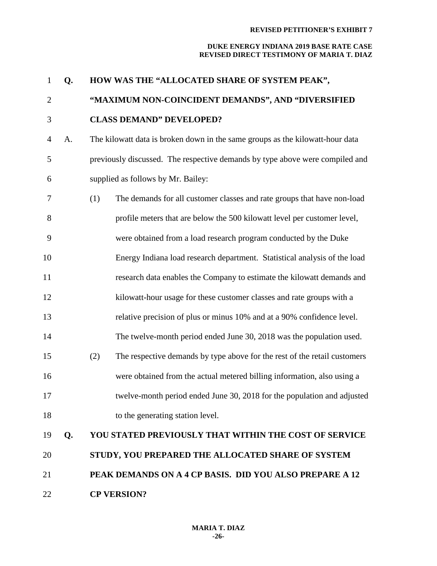### **DUKE ENERGY INDIANA 2019 BASE RATE CASE REVISED DIRECT TESTIMONY OF MARIA T. DIAZ**

| $\mathbf{1}$   | Q. | HOW WAS THE "ALLOCATED SHARE OF SYSTEM PEAK",                                    |
|----------------|----|----------------------------------------------------------------------------------|
| $\overline{2}$ |    | "MAXIMUM NON-COINCIDENT DEMANDS", AND "DIVERSIFIED                               |
| 3              |    | <b>CLASS DEMAND" DEVELOPED?</b>                                                  |
| $\overline{4}$ | A. | The kilowatt data is broken down in the same groups as the kilowatt-hour data    |
| 5              |    | previously discussed. The respective demands by type above were compiled and     |
| 6              |    | supplied as follows by Mr. Bailey:                                               |
| 7              |    | (1)<br>The demands for all customer classes and rate groups that have non-load   |
| 8              |    | profile meters that are below the 500 kilowatt level per customer level,         |
| 9              |    | were obtained from a load research program conducted by the Duke                 |
| 10             |    | Energy Indiana load research department. Statistical analysis of the load        |
| 11             |    | research data enables the Company to estimate the kilowatt demands and           |
| 12             |    | kilowatt-hour usage for these customer classes and rate groups with a            |
| 13             |    | relative precision of plus or minus 10% and at a 90% confidence level.           |
| 14             |    | The twelve-month period ended June 30, 2018 was the population used.             |
| 15             |    | (2)<br>The respective demands by type above for the rest of the retail customers |
| 16             |    | were obtained from the actual metered billing information, also using a          |
| 17             |    | twelve-month period ended June 30, 2018 for the population and adjusted          |
| 18             |    | to the generating station level.                                                 |
| 19             | Q. | <b>YOU STATED PREVIOUSLY THAT WITHIN THE COST OF SERVICE</b>                     |
| 20             |    | STUDY, YOU PREPARED THE ALLOCATED SHARE OF SYSTEM                                |
| 21             |    | PEAK DEMANDS ON A 4 CP BASIS. DID YOU ALSO PREPARE A 12                          |

**CP VERSION?**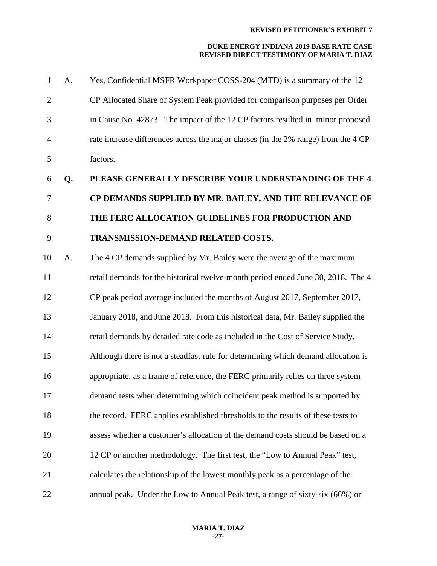| $\mathbf{1}$   | A. | Yes, Confidential MSFR Workpaper COSS-204 (MTD) is a summary of the 12             |
|----------------|----|------------------------------------------------------------------------------------|
| $\overline{2}$ |    | CP Allocated Share of System Peak provided for comparison purposes per Order       |
| 3              |    | in Cause No. 42873. The impact of the 12 CP factors resulted in minor proposed     |
| $\overline{4}$ |    | rate increase differences across the major classes (in the 2% range) from the 4 CP |
| 5              |    | factors.                                                                           |
| 6              | Q. | PLEASE GENERALLY DESCRIBE YOUR UNDERSTANDING OF THE 4                              |
| 7              |    | CP DEMANDS SUPPLIED BY MR. BAILEY, AND THE RELEVANCE OF                            |
| 8              |    | THE FERC ALLOCATION GUIDELINES FOR PRODUCTION AND                                  |
| 9              |    | TRANSMISSION-DEMAND RELATED COSTS.                                                 |
| 10             | A. | The 4 CP demands supplied by Mr. Bailey were the average of the maximum            |
| 11             |    | retail demands for the historical twelve-month period ended June 30, 2018. The 4   |
| 12             |    | CP peak period average included the months of August 2017, September 2017,         |
| 13             |    | January 2018, and June 2018. From this historical data, Mr. Bailey supplied the    |
| 14             |    | retail demands by detailed rate code as included in the Cost of Service Study.     |
| 15             |    | Although there is not a steadfast rule for determining which demand allocation is  |
| 16             |    | appropriate, as a frame of reference, the FERC primarily relies on three system    |
| 17             |    | demand tests when determining which coincident peak method is supported by         |
| 18             |    | the record. FERC applies established thresholds to the results of these tests to   |
| 19             |    | assess whether a customer's allocation of the demand costs should be based on a    |
| 20             |    | 12 CP or another methodology. The first test, the "Low to Annual Peak" test,       |
| 21             |    | calculates the relationship of the lowest monthly peak as a percentage of the      |
| 22             |    | annual peak. Under the Low to Annual Peak test, a range of sixty-six (66%) or      |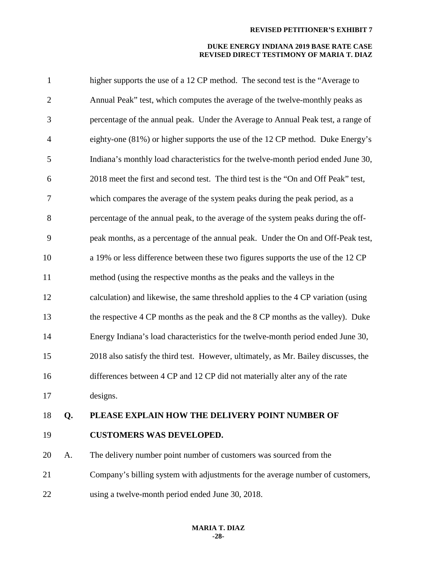| $\mathbf{1}$   |    | higher supports the use of a 12 CP method. The second test is the "Average to       |
|----------------|----|-------------------------------------------------------------------------------------|
| $\overline{2}$ |    | Annual Peak" test, which computes the average of the twelve-monthly peaks as        |
| 3              |    | percentage of the annual peak. Under the Average to Annual Peak test, a range of    |
| $\overline{4}$ |    | eighty-one (81%) or higher supports the use of the 12 CP method. Duke Energy's      |
| 5              |    | Indiana's monthly load characteristics for the twelve-month period ended June 30,   |
| 6              |    | 2018 meet the first and second test. The third test is the "On and Off Peak" test,  |
| 7              |    | which compares the average of the system peaks during the peak period, as a         |
| 8              |    | percentage of the annual peak, to the average of the system peaks during the off-   |
| 9              |    | peak months, as a percentage of the annual peak. Under the On and Off-Peak test,    |
| 10             |    | a 19% or less difference between these two figures supports the use of the 12 CP    |
| 11             |    | method (using the respective months as the peaks and the valleys in the             |
| 12             |    | calculation) and likewise, the same threshold applies to the 4 CP variation (using  |
| 13             |    | the respective 4 CP months as the peak and the 8 CP months as the valley). Duke     |
| 14             |    | Energy Indiana's load characteristics for the twelve-month period ended June 30,    |
| 15             |    | 2018 also satisfy the third test. However, ultimately, as Mr. Bailey discusses, the |
| 16             |    | differences between 4 CP and 12 CP did not materially alter any of the rate         |
| 17             |    | designs.                                                                            |
| 18             | Q. | PLEASE EXPLAIN HOW THE DELIVERY POINT NUMBER OF                                     |
| 19             |    | <b>CUSTOMERS WAS DEVELOPED.</b>                                                     |
| 20             | A. | The delivery number point number of customers was sourced from the                  |
| 21             |    | Company's billing system with adjustments for the average number of customers,      |
| 22             |    | using a twelve-month period ended June 30, 2018.                                    |
|                |    |                                                                                     |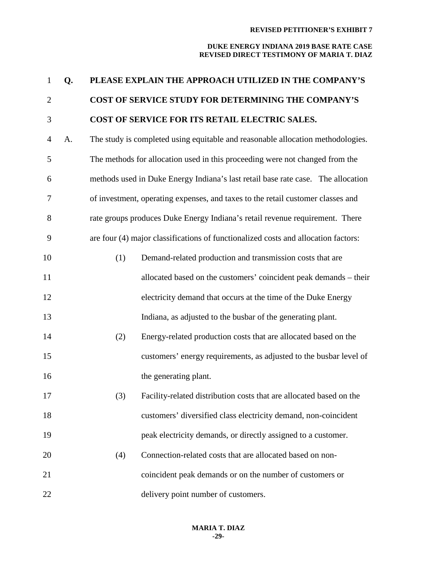| $\mathbf{1}$   | Q. |     | PLEASE EXPLAIN THE APPROACH UTILIZED IN THE COMPANY'S                              |
|----------------|----|-----|------------------------------------------------------------------------------------|
| $\overline{2}$ |    |     | COST OF SERVICE STUDY FOR DETERMINING THE COMPANY'S                                |
| 3              |    |     | COST OF SERVICE FOR ITS RETAIL ELECTRIC SALES.                                     |
| $\overline{4}$ | A. |     | The study is completed using equitable and reasonable allocation methodologies.    |
| 5              |    |     | The methods for allocation used in this proceeding were not changed from the       |
| 6              |    |     | methods used in Duke Energy Indiana's last retail base rate case. The allocation   |
| 7              |    |     | of investment, operating expenses, and taxes to the retail customer classes and    |
| 8              |    |     | rate groups produces Duke Energy Indiana's retail revenue requirement. There       |
| 9              |    |     | are four (4) major classifications of functionalized costs and allocation factors: |
| 10             |    | (1) | Demand-related production and transmission costs that are                          |
| 11             |    |     | allocated based on the customers' coincident peak demands – their                  |
| 12             |    |     | electricity demand that occurs at the time of the Duke Energy                      |
| 13             |    |     | Indiana, as adjusted to the busbar of the generating plant.                        |
| 14             |    | (2) | Energy-related production costs that are allocated based on the                    |
| 15             |    |     | customers' energy requirements, as adjusted to the busbar level of                 |
| 16             |    |     | the generating plant.                                                              |
| 17             |    | (3) | Facility-related distribution costs that are allocated based on the                |
| 18             |    |     | customers' diversified class electricity demand, non-coincident                    |
| 19             |    |     | peak electricity demands, or directly assigned to a customer.                      |
| 20             |    | (4) | Connection-related costs that are allocated based on non-                          |
| 21             |    |     | coincident peak demands or on the number of customers or                           |
| 22             |    |     | delivery point number of customers.                                                |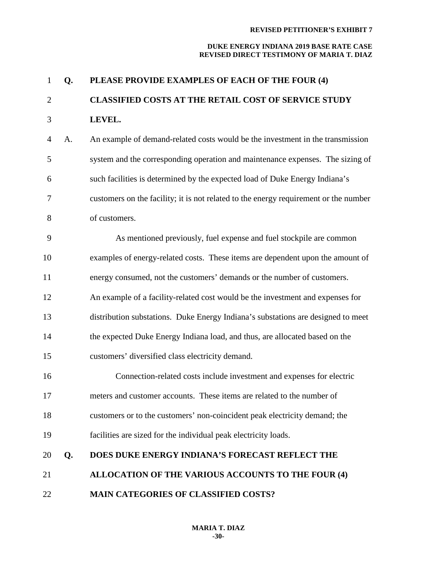### **DUKE ENERGY INDIANA 2019 BASE RATE CASE REVISED DIRECT TESTIMONY OF MARIA T. DIAZ**

| 1              | Q. | PLEASE PROVIDE EXAMPLES OF EACH OF THE FOUR (4)                                      |
|----------------|----|--------------------------------------------------------------------------------------|
| $\mathbf{2}$   |    | <b>CLASSIFIED COSTS AT THE RETAIL COST OF SERVICE STUDY</b>                          |
| 3              |    | LEVEL.                                                                               |
| $\overline{4}$ | A. | An example of demand-related costs would be the investment in the transmission       |
| 5              |    | system and the corresponding operation and maintenance expenses. The sizing of       |
| 6              |    | such facilities is determined by the expected load of Duke Energy Indiana's          |
| 7              |    | customers on the facility; it is not related to the energy requirement or the number |
| 8              |    | of customers.                                                                        |
| 9              |    | As mentioned previously, fuel expense and fuel stockpile are common                  |
| 10             |    | examples of energy-related costs. These items are dependent upon the amount of       |
| 11             |    | energy consumed, not the customers' demands or the number of customers.              |
| 12             |    | An example of a facility-related cost would be the investment and expenses for       |
| 13             |    | distribution substations. Duke Energy Indiana's substations are designed to meet     |
| 14             |    | the expected Duke Energy Indiana load, and thus, are allocated based on the          |
| 15             |    | customers' diversified class electricity demand.                                     |
| 16             |    | Connection-related costs include investment and expenses for electric                |
| 17             |    | meters and customer accounts. These items are related to the number of               |
| 18             |    | customers or to the customers' non-coincident peak electricity demand; the           |
| 19             |    | facilities are sized for the individual peak electricity loads.                      |
| 20             | Q. | DOES DUKE ENERGY INDIANA'S FORECAST REFLECT THE                                      |
| 21             |    | ALLOCATION OF THE VARIOUS ACCOUNTS TO THE FOUR (4)                                   |

**MAIN CATEGORIES OF CLASSIFIED COSTS?**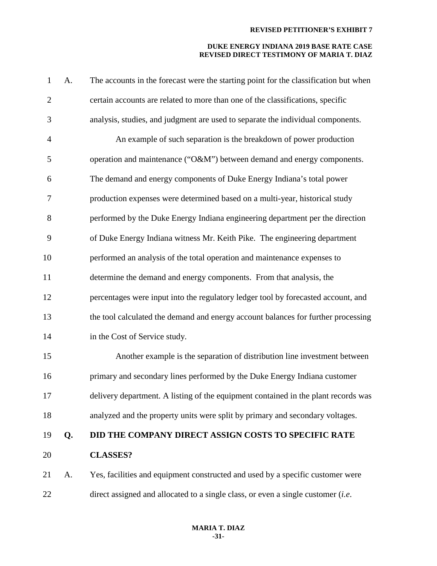| $\mathbf{1}$   | A. | The accounts in the forecast were the starting point for the classification but when     |
|----------------|----|------------------------------------------------------------------------------------------|
| $\mathbf{2}$   |    | certain accounts are related to more than one of the classifications, specific           |
| 3              |    | analysis, studies, and judgment are used to separate the individual components.          |
| $\overline{4}$ |    | An example of such separation is the breakdown of power production                       |
| 5              |    | operation and maintenance ("O&M") between demand and energy components.                  |
| 6              |    | The demand and energy components of Duke Energy Indiana's total power                    |
| $\tau$         |    | production expenses were determined based on a multi-year, historical study              |
| 8              |    | performed by the Duke Energy Indiana engineering department per the direction            |
| 9              |    | of Duke Energy Indiana witness Mr. Keith Pike. The engineering department                |
| 10             |    | performed an analysis of the total operation and maintenance expenses to                 |
| 11             |    | determine the demand and energy components. From that analysis, the                      |
| 12             |    | percentages were input into the regulatory ledger tool by forecasted account, and        |
| 13             |    | the tool calculated the demand and energy account balances for further processing        |
| 14             |    | in the Cost of Service study.                                                            |
| 15             |    | Another example is the separation of distribution line investment between                |
| 16             |    | primary and secondary lines performed by the Duke Energy Indiana customer                |
| 17             |    | delivery department. A listing of the equipment contained in the plant records was       |
| 18             |    | analyzed and the property units were split by primary and secondary voltages.            |
| 19             | Q. | DID THE COMPANY DIRECT ASSIGN COSTS TO SPECIFIC RATE                                     |
| 20             |    | <b>CLASSES?</b>                                                                          |
| 21             | A. | Yes, facilities and equipment constructed and used by a specific customer were           |
| 22             |    | direct assigned and allocated to a single class, or even a single customer ( <i>i.e.</i> |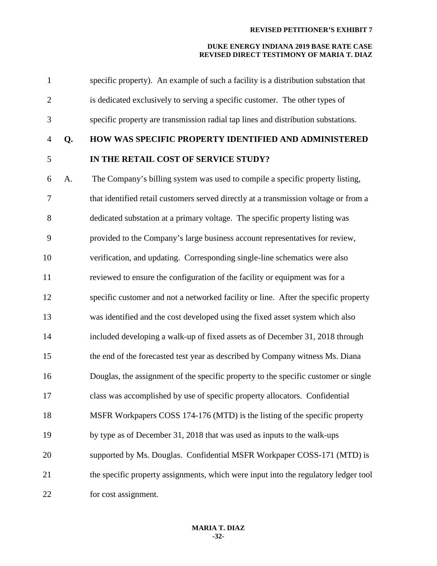| $\mathbf{1}$   |    | specific property). An example of such a facility is a distribution substation that  |
|----------------|----|--------------------------------------------------------------------------------------|
| $\overline{2}$ |    | is dedicated exclusively to serving a specific customer. The other types of          |
| 3              |    | specific property are transmission radial tap lines and distribution substations.    |
| $\overline{4}$ | Q. | HOW WAS SPECIFIC PROPERTY IDENTIFIED AND ADMINISTERED                                |
| 5              |    | IN THE RETAIL COST OF SERVICE STUDY?                                                 |
| 6              | A. | The Company's billing system was used to compile a specific property listing,        |
| 7              |    | that identified retail customers served directly at a transmission voltage or from a |
| 8              |    | dedicated substation at a primary voltage. The specific property listing was         |
| 9              |    | provided to the Company's large business account representatives for review,         |
| 10             |    | verification, and updating. Corresponding single-line schematics were also           |
| 11             |    | reviewed to ensure the configuration of the facility or equipment was for a          |
| 12             |    | specific customer and not a networked facility or line. After the specific property  |
| 13             |    | was identified and the cost developed using the fixed asset system which also        |
| 14             |    | included developing a walk-up of fixed assets as of December 31, 2018 through        |
| 15             |    | the end of the forecasted test year as described by Company witness Ms. Diana        |
| 16             |    | Douglas, the assignment of the specific property to the specific customer or single  |
| 17             |    | class was accomplished by use of specific property allocators. Confidential          |
| 18             |    | MSFR Workpapers COSS 174-176 (MTD) is the listing of the specific property           |
| 19             |    | by type as of December 31, 2018 that was used as inputs to the walk-ups              |
| 20             |    | supported by Ms. Douglas. Confidential MSFR Workpaper COSS-171 (MTD) is              |
| 21             |    | the specific property assignments, which were input into the regulatory ledger tool  |
| 22             |    | for cost assignment.                                                                 |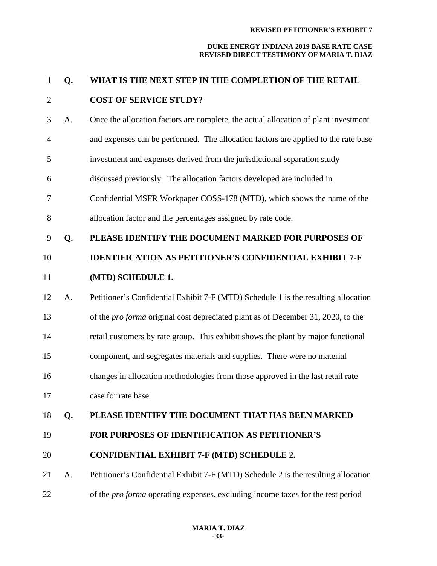| $\mathbf{1}$   | Q. | WHAT IS THE NEXT STEP IN THE COMPLETION OF THE RETAIL                                   |
|----------------|----|-----------------------------------------------------------------------------------------|
| $\mathbf{2}$   |    | <b>COST OF SERVICE STUDY?</b>                                                           |
| 3              | A. | Once the allocation factors are complete, the actual allocation of plant investment     |
| $\overline{4}$ |    | and expenses can be performed. The allocation factors are applied to the rate base      |
| 5              |    | investment and expenses derived from the jurisdictional separation study                |
| 6              |    | discussed previously. The allocation factors developed are included in                  |
| 7              |    | Confidential MSFR Workpaper COSS-178 (MTD), which shows the name of the                 |
| 8              |    | allocation factor and the percentages assigned by rate code.                            |
| 9              | Q. | PLEASE IDENTIFY THE DOCUMENT MARKED FOR PURPOSES OF                                     |
| 10             |    | <b>IDENTIFICATION AS PETITIONER'S CONFIDENTIAL EXHIBIT 7-F</b>                          |
| 11             |    | (MTD) SCHEDULE 1.                                                                       |
| 12             | A. | Petitioner's Confidential Exhibit 7-F (MTD) Schedule 1 is the resulting allocation      |
| 13             |    | of the <i>pro forma</i> original cost depreciated plant as of December 31, 2020, to the |
| 14             |    | retail customers by rate group. This exhibit shows the plant by major functional        |
| 15             |    | component, and segregates materials and supplies. There were no material                |
| 16             |    | changes in allocation methodologies from those approved in the last retail rate         |
| 17             |    | case for rate base.                                                                     |
| 18             | Q. | PLEASE IDENTIFY THE DOCUMENT THAT HAS BEEN MARKED                                       |
| 19             |    | <b>FOR PURPOSES OF IDENTIFICATION AS PETITIONER'S</b>                                   |
| 20             |    | <b>CONFIDENTIAL EXHIBIT 7-F (MTD) SCHEDULE 2.</b>                                       |
| 21             | A. | Petitioner's Confidential Exhibit 7-F (MTD) Schedule 2 is the resulting allocation      |
| 22             |    | of the <i>pro forma</i> operating expenses, excluding income taxes for the test period  |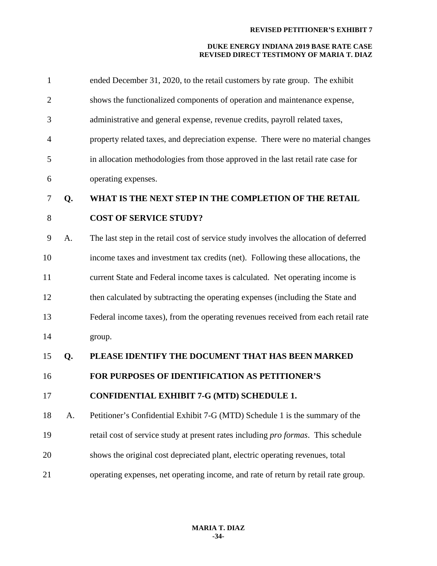| $\mathbf{1}$   |    | ended December 31, 2020, to the retail customers by rate group. The exhibit           |
|----------------|----|---------------------------------------------------------------------------------------|
| $\overline{2}$ |    | shows the functionalized components of operation and maintenance expense,             |
| 3              |    | administrative and general expense, revenue credits, payroll related taxes,           |
| $\overline{4}$ |    | property related taxes, and depreciation expense. There were no material changes      |
| 5              |    | in allocation methodologies from those approved in the last retail rate case for      |
| 6              |    | operating expenses.                                                                   |
| 7              | Q. | WHAT IS THE NEXT STEP IN THE COMPLETION OF THE RETAIL                                 |
| 8              |    | <b>COST OF SERVICE STUDY?</b>                                                         |
| 9              | A. | The last step in the retail cost of service study involves the allocation of deferred |
| 10             |    | income taxes and investment tax credits (net). Following these allocations, the       |
| 11             |    | current State and Federal income taxes is calculated. Net operating income is         |
| 12             |    | then calculated by subtracting the operating expenses (including the State and        |
| 13             |    | Federal income taxes), from the operating revenues received from each retail rate     |
| 14             |    | group.                                                                                |
| 15             | Q. | PLEASE IDENTIFY THE DOCUMENT THAT HAS BEEN MARKED                                     |
| 16             |    | FOR PURPOSES OF IDENTIFICATION AS PETITIONER'S                                        |
| 17             |    | <b>CONFIDENTIAL EXHIBIT 7-G (MTD) SCHEDULE 1.</b>                                     |
| 18             | A. | Petitioner's Confidential Exhibit 7-G (MTD) Schedule 1 is the summary of the          |
| 19             |    | retail cost of service study at present rates including pro formas. This schedule     |
| 20             |    | shows the original cost depreciated plant, electric operating revenues, total         |
| 21             |    | operating expenses, net operating income, and rate of return by retail rate group.    |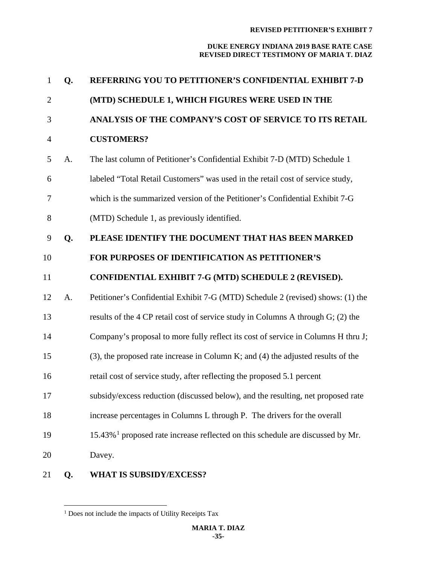| $\mathbf{1}$   | Q. | REFERRING YOU TO PETITIONER'S CONFIDENTIAL EXHIBIT 7-D                                        |
|----------------|----|-----------------------------------------------------------------------------------------------|
| $\overline{2}$ |    | (MTD) SCHEDULE 1, WHICH FIGURES WERE USED IN THE                                              |
| 3              |    | ANALYSIS OF THE COMPANY'S COST OF SERVICE TO ITS RETAIL                                       |
| $\overline{4}$ |    | <b>CUSTOMERS?</b>                                                                             |
| 5              | A. | The last column of Petitioner's Confidential Exhibit 7-D (MTD) Schedule 1                     |
| 6              |    | labeled "Total Retail Customers" was used in the retail cost of service study,                |
| 7              |    | which is the summarized version of the Petitioner's Confidential Exhibit 7-G                  |
| 8              |    | (MTD) Schedule 1, as previously identified.                                                   |
| 9              | Q. | PLEASE IDENTIFY THE DOCUMENT THAT HAS BEEN MARKED                                             |
| 10             |    | FOR PURPOSES OF IDENTIFICATION AS PETITIONER'S                                                |
| 11             |    | CONFIDENTIAL EXHIBIT 7-G (MTD) SCHEDULE 2 (REVISED).                                          |
| 12             | A. | Petitioner's Confidential Exhibit 7-G (MTD) Schedule 2 (revised) shows: (1) the               |
| 13             |    | results of the 4 CP retail cost of service study in Columns A through G; (2) the              |
| 14             |    | Company's proposal to more fully reflect its cost of service in Columns H thru J;             |
| 15             |    | $(3)$ , the proposed rate increase in Column K; and $(4)$ the adjusted results of the         |
| 16             |    | retail cost of service study, after reflecting the proposed 5.1 percent                       |
| 17             |    | subsidy/excess reduction (discussed below), and the resulting, net proposed rate              |
| 18             |    | increase percentages in Columns L through P. The drivers for the overall                      |
| 19             |    | $15.43\%$ <sup>1</sup> proposed rate increase reflected on this schedule are discussed by Mr. |
| 20             |    | Davey.                                                                                        |
|                |    | TU TA ALIDAIDIY/TIV/CEAAO                                                                     |

<span id="page-34-0"></span>**Q. WHAT IS SUBSIDY/EXCESS?**

<sup>&</sup>lt;sup>1</sup> Does not include the impacts of Utility Receipts Tax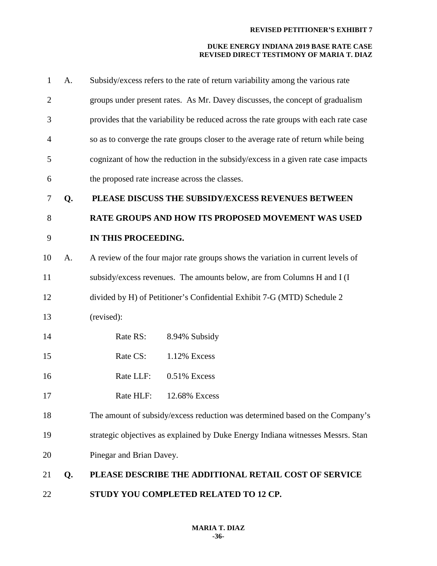| $\mathbf{1}$   | A. | Subsidy/excess refers to the rate of return variability among the various rate      |
|----------------|----|-------------------------------------------------------------------------------------|
| $\overline{2}$ |    | groups under present rates. As Mr. Davey discusses, the concept of gradualism       |
| 3              |    | provides that the variability be reduced across the rate groups with each rate case |
| $\overline{4}$ |    | so as to converge the rate groups closer to the average rate of return while being  |
| 5              |    | cognizant of how the reduction in the subsidy/excess in a given rate case impacts   |
| 6              |    | the proposed rate increase across the classes.                                      |
| 7              | Q. | PLEASE DISCUSS THE SUBSIDY/EXCESS REVENUES BETWEEN                                  |
| 8              |    | RATE GROUPS AND HOW ITS PROPOSED MOVEMENT WAS USED                                  |
| 9              |    | IN THIS PROCEEDING.                                                                 |
| 10             | A. | A review of the four major rate groups shows the variation in current levels of     |
| 11             |    | subsidy/excess revenues. The amounts below, are from Columns H and I (I             |
| 12             |    | divided by H) of Petitioner's Confidential Exhibit 7-G (MTD) Schedule 2             |
| 13             |    | (revised):                                                                          |
| 14             |    | Rate RS:<br>8.94% Subsidy                                                           |
| 15             |    | Rate CS:<br>1.12% Excess                                                            |
| 16             |    | Rate LLF:<br>0.51% Excess                                                           |
| 17             |    | Rate HLF:<br>12.68% Excess                                                          |
| 18             |    | The amount of subsidy/excess reduction was determined based on the Company's        |
| 19             |    | strategic objectives as explained by Duke Energy Indiana witnesses Messrs. Stan     |
| 20             |    | Pinegar and Brian Davey.                                                            |
| 21             | Q. | PLEASE DESCRIBE THE ADDITIONAL RETAIL COST OF SERVICE                               |
| 22             |    | STUDY YOU COMPLETED RELATED TO 12 CP.                                               |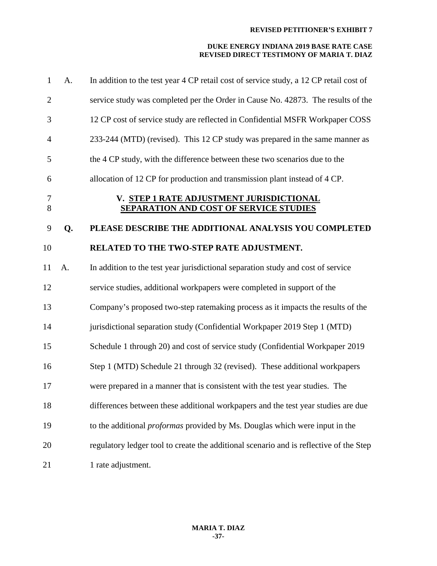| $\mathbf{1}$   | A. | In addition to the test year 4 CP retail cost of service study, a 12 CP retail cost of    |
|----------------|----|-------------------------------------------------------------------------------------------|
| $\overline{2}$ |    | service study was completed per the Order in Cause No. 42873. The results of the          |
| 3              |    | 12 CP cost of service study are reflected in Confidential MSFR Workpaper COSS             |
| $\overline{4}$ |    | 233-244 (MTD) (revised). This 12 CP study was prepared in the same manner as              |
| 5              |    | the 4 CP study, with the difference between these two scenarios due to the                |
| 6              |    | allocation of 12 CP for production and transmission plant instead of 4 CP.                |
| $\tau$<br>8    |    | V. STEP 1 RATE ADJUSTMENT JURISDICTIONAL<br><b>SEPARATION AND COST OF SERVICE STUDIES</b> |
| 9              | Q. | PLEASE DESCRIBE THE ADDITIONAL ANALYSIS YOU COMPLETED                                     |
| 10             |    | RELATED TO THE TWO-STEP RATE ADJUSTMENT.                                                  |
| 11             | A. | In addition to the test year jurisdictional separation study and cost of service          |
| 12             |    | service studies, additional workpapers were completed in support of the                   |
| 13             |    | Company's proposed two-step ratemaking process as it impacts the results of the           |
| 14             |    | jurisdictional separation study (Confidential Workpaper 2019 Step 1 (MTD)                 |
| 15             |    | Schedule 1 through 20) and cost of service study (Confidential Workpaper 2019             |
| 16             |    | Step 1 (MTD) Schedule 21 through 32 (revised). These additional workpapers                |
| 17             |    | were prepared in a manner that is consistent with the test year studies. The              |
| 18             |    | differences between these additional workpapers and the test year studies are due         |
| 19             |    | to the additional <i>proformas</i> provided by Ms. Douglas which were input in the        |
| 20             |    | regulatory ledger tool to create the additional scenario and is reflective of the Step    |
| 21             |    | 1 rate adjustment.                                                                        |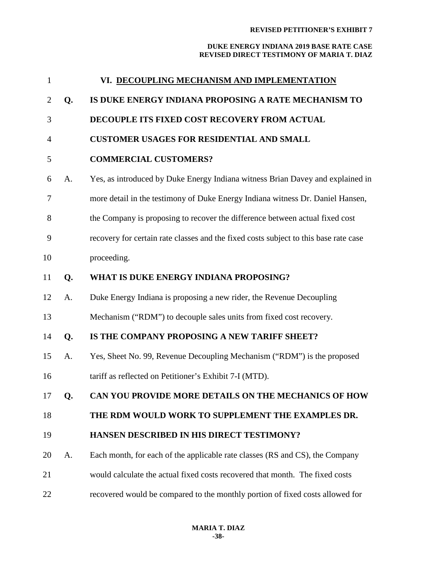| $\mathbf{1}$ |    | VI. DECOUPLING MECHANISM AND IMPLEMENTATION                                          |
|--------------|----|--------------------------------------------------------------------------------------|
| 2            | Q. | IS DUKE ENERGY INDIANA PROPOSING A RATE MECHANISM TO                                 |
| 3            |    | DECOUPLE ITS FIXED COST RECOVERY FROM ACTUAL                                         |
| 4            |    | <b>CUSTOMER USAGES FOR RESIDENTIAL AND SMALL</b>                                     |
| 5            |    | <b>COMMERCIAL CUSTOMERS?</b>                                                         |
| 6            | A. | Yes, as introduced by Duke Energy Indiana witness Brian Davey and explained in       |
| 7            |    | more detail in the testimony of Duke Energy Indiana witness Dr. Daniel Hansen,       |
| 8            |    | the Company is proposing to recover the difference between actual fixed cost         |
| 9            |    | recovery for certain rate classes and the fixed costs subject to this base rate case |
| 10           |    | proceeding.                                                                          |
| 11           | Q. | WHAT IS DUKE ENERGY INDIANA PROPOSING?                                               |
| 12           | A. | Duke Energy Indiana is proposing a new rider, the Revenue Decoupling                 |
| 13           |    | Mechanism ("RDM") to decouple sales units from fixed cost recovery.                  |
| 14           | Q. | IS THE COMPANY PROPOSING A NEW TARIFF SHEET?                                         |
| 15           | A. | Yes, Sheet No. 99, Revenue Decoupling Mechanism ("RDM") is the proposed              |
| 16           |    | tariff as reflected on Petitioner's Exhibit 7-I (MTD).                               |
| 17           | Q. | CAN YOU PROVIDE MORE DETAILS ON THE MECHANICS OF HOW                                 |
| 18           |    | THE RDM WOULD WORK TO SUPPLEMENT THE EXAMPLES DR.                                    |
| 19           |    | <b>HANSEN DESCRIBED IN HIS DIRECT TESTIMONY?</b>                                     |
| 20           | A. | Each month, for each of the applicable rate classes (RS and CS), the Company         |
| 21           |    | would calculate the actual fixed costs recovered that month. The fixed costs         |
| 22           |    | recovered would be compared to the monthly portion of fixed costs allowed for        |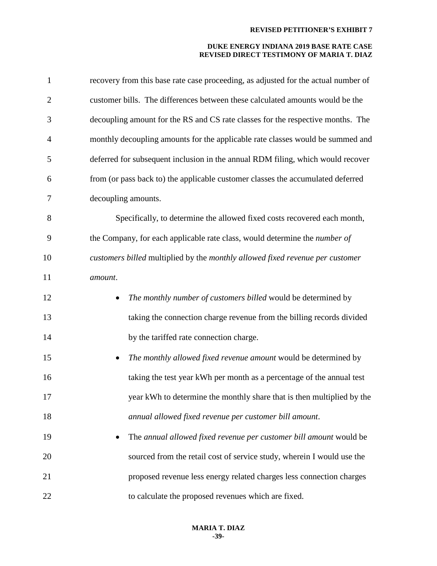| $\mathbf{1}$   | recovery from this base rate case proceeding, as adjusted for the actual number of |
|----------------|------------------------------------------------------------------------------------|
| $\mathfrak{2}$ | customer bills. The differences between these calculated amounts would be the      |
| 3              | decoupling amount for the RS and CS rate classes for the respective months. The    |
| 4              | monthly decoupling amounts for the applicable rate classes would be summed and     |
| 5              | deferred for subsequent inclusion in the annual RDM filing, which would recover    |
| 6              | from (or pass back to) the applicable customer classes the accumulated deferred    |
| 7              | decoupling amounts.                                                                |
| 8              | Specifically, to determine the allowed fixed costs recovered each month,           |
| 9              | the Company, for each applicable rate class, would determine the <i>number of</i>  |
| 10             | customers billed multiplied by the monthly allowed fixed revenue per customer      |
| 11             | amount.                                                                            |
| 12             | The monthly number of customers billed would be determined by                      |
| 13             | taking the connection charge revenue from the billing records divided              |
| 14             | by the tariffed rate connection charge.                                            |
| 15             | The monthly allowed fixed revenue amount would be determined by<br>$\bullet$       |
| 16             | taking the test year kWh per month as a percentage of the annual test              |
| 17             | year kWh to determine the monthly share that is then multiplied by the             |
| 18             | annual allowed fixed revenue per customer bill amount.                             |
| 19             | The annual allowed fixed revenue per customer bill amount would be                 |
| 20             | sourced from the retail cost of service study, wherein I would use the             |
| 21             | proposed revenue less energy related charges less connection charges               |
| 22             | to calculate the proposed revenues which are fixed.                                |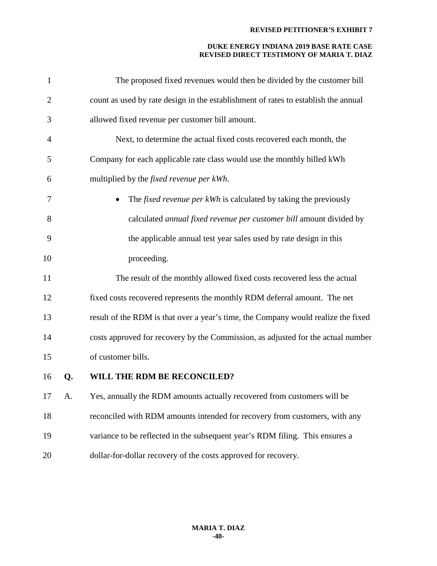| $\mathbf{1}$   |    | The proposed fixed revenues would then be divided by the customer bill             |
|----------------|----|------------------------------------------------------------------------------------|
| $\overline{2}$ |    | count as used by rate design in the establishment of rates to establish the annual |
| 3              |    | allowed fixed revenue per customer bill amount.                                    |
| $\overline{4}$ |    | Next, to determine the actual fixed costs recovered each month, the                |
| 5              |    | Company for each applicable rate class would use the monthly billed kWh            |
| 6              |    | multiplied by the fixed revenue per kWh.                                           |
| 7              |    | The <i>fixed revenue per kWh</i> is calculated by taking the previously            |
| 8              |    | calculated annual fixed revenue per customer bill amount divided by                |
| 9              |    | the applicable annual test year sales used by rate design in this                  |
| 10             |    | proceeding.                                                                        |
| 11             |    | The result of the monthly allowed fixed costs recovered less the actual            |
| 12             |    | fixed costs recovered represents the monthly RDM deferral amount. The net          |
| 13             |    | result of the RDM is that over a year's time, the Company would realize the fixed  |
| 14             |    | costs approved for recovery by the Commission, as adjusted for the actual number   |
| 15             |    | of customer bills.                                                                 |
| 16             | Q. | WILL THE RDM BE RECONCILED?                                                        |
| 17             | А. | Yes, annually the RDM amounts actually recovered from customers will be            |
| 18             |    | reconciled with RDM amounts intended for recovery from customers, with any         |
| 19             |    | variance to be reflected in the subsequent year's RDM filing. This ensures a       |
| 20             |    | dollar-for-dollar recovery of the costs approved for recovery.                     |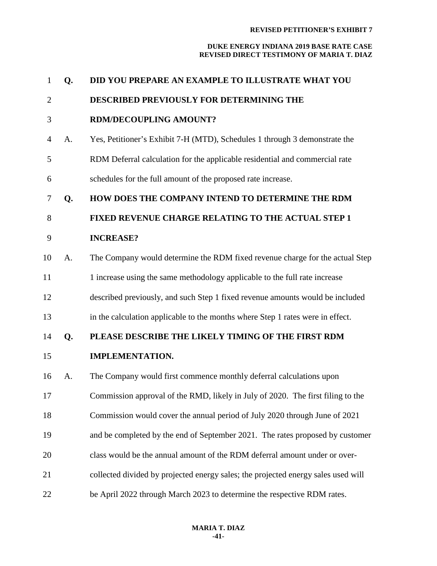| $\mathbf{1}$   | Q. | DID YOU PREPARE AN EXAMPLE TO ILLUSTRATE WHAT YOU                                 |
|----------------|----|-----------------------------------------------------------------------------------|
| $\overline{2}$ |    | DESCRIBED PREVIOUSLY FOR DETERMINING THE                                          |
| 3              |    | <b>RDM/DECOUPLING AMOUNT?</b>                                                     |
| 4              | A. | Yes, Petitioner's Exhibit 7-H (MTD), Schedules 1 through 3 demonstrate the        |
| 5              |    | RDM Deferral calculation for the applicable residential and commercial rate       |
| 6              |    | schedules for the full amount of the proposed rate increase.                      |
| 7              | Q. | HOW DOES THE COMPANY INTEND TO DETERMINE THE RDM                                  |
| 8              |    | FIXED REVENUE CHARGE RELATING TO THE ACTUAL STEP 1                                |
| 9              |    | <b>INCREASE?</b>                                                                  |
| 10             | A. | The Company would determine the RDM fixed revenue charge for the actual Step      |
| 11             |    | 1 increase using the same methodology applicable to the full rate increase        |
| 12             |    | described previously, and such Step 1 fixed revenue amounts would be included     |
| 13             |    | in the calculation applicable to the months where Step 1 rates were in effect.    |
| 14             | Q. | PLEASE DESCRIBE THE LIKELY TIMING OF THE FIRST RDM                                |
| 15             |    | <b>IMPLEMENTATION.</b>                                                            |
| 16             | A. | The Company would first commence monthly deferral calculations upon               |
| 17             |    | Commission approval of the RMD, likely in July of 2020. The first filing to the   |
| 18             |    | Commission would cover the annual period of July 2020 through June of 2021        |
| 19             |    | and be completed by the end of September 2021. The rates proposed by customer     |
| 20             |    | class would be the annual amount of the RDM deferral amount under or over-        |
| 21             |    | collected divided by projected energy sales; the projected energy sales used will |
| 22             |    | be April 2022 through March 2023 to determine the respective RDM rates.           |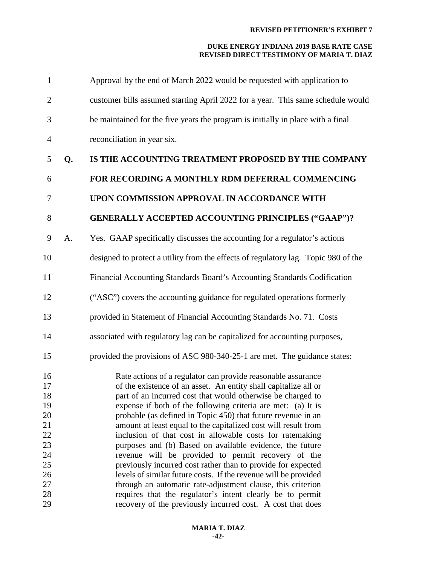| customer bills assumed starting April 2022 for a year. This same schedule would<br>$\overline{2}$<br>be maintained for the five years the program is initially in place with a final<br>3<br>reconciliation in year six.<br>$\overline{4}$<br>IS THE ACCOUNTING TREATMENT PROPOSED BY THE COMPANY<br>5<br>Q.<br>FOR RECORDING A MONTHLY RDM DEFERRAL COMMENCING<br>6<br>UPON COMMISSION APPROVAL IN ACCORDANCE WITH<br>7<br><b>GENERALLY ACCEPTED ACCOUNTING PRINCIPLES ("GAAP")?</b><br>8<br>9<br>Yes. GAAP specifically discusses the accounting for a regulator's actions<br>A. |  |
|------------------------------------------------------------------------------------------------------------------------------------------------------------------------------------------------------------------------------------------------------------------------------------------------------------------------------------------------------------------------------------------------------------------------------------------------------------------------------------------------------------------------------------------------------------------------------------|--|
|                                                                                                                                                                                                                                                                                                                                                                                                                                                                                                                                                                                    |  |
|                                                                                                                                                                                                                                                                                                                                                                                                                                                                                                                                                                                    |  |
|                                                                                                                                                                                                                                                                                                                                                                                                                                                                                                                                                                                    |  |
|                                                                                                                                                                                                                                                                                                                                                                                                                                                                                                                                                                                    |  |
|                                                                                                                                                                                                                                                                                                                                                                                                                                                                                                                                                                                    |  |
|                                                                                                                                                                                                                                                                                                                                                                                                                                                                                                                                                                                    |  |
|                                                                                                                                                                                                                                                                                                                                                                                                                                                                                                                                                                                    |  |
|                                                                                                                                                                                                                                                                                                                                                                                                                                                                                                                                                                                    |  |
| designed to protect a utility from the effects of regulatory lag. Topic 980 of the<br>10                                                                                                                                                                                                                                                                                                                                                                                                                                                                                           |  |
| Financial Accounting Standards Board's Accounting Standards Codification<br>11                                                                                                                                                                                                                                                                                                                                                                                                                                                                                                     |  |
| ("ASC") covers the accounting guidance for regulated operations formerly<br>12                                                                                                                                                                                                                                                                                                                                                                                                                                                                                                     |  |
| provided in Statement of Financial Accounting Standards No. 71. Costs<br>13                                                                                                                                                                                                                                                                                                                                                                                                                                                                                                        |  |
| associated with regulatory lag can be capitalized for accounting purposes,<br>14                                                                                                                                                                                                                                                                                                                                                                                                                                                                                                   |  |
| provided the provisions of ASC 980-340-25-1 are met. The guidance states:<br>15                                                                                                                                                                                                                                                                                                                                                                                                                                                                                                    |  |
| 16<br>Rate actions of a regulator can provide reasonable assurance<br>17<br>of the existence of an asset. An entity shall capitalize all or<br>18<br>part of an incurred cost that would otherwise be charged to<br>expense if both of the following criteria are met: (a) It is<br>19<br>20<br>probable (as defined in Topic 450) that future revenue in an<br>21<br>amount at least equal to the capitalized cost will result from<br>22<br>inclusion of that cost in allowable costs for ratemaking<br>23<br>purposes and (b) Based on available evidence, the future           |  |
| 24<br>revenue will be provided to permit recovery of the<br>25<br>previously incurred cost rather than to provide for expected<br>26<br>levels of similar future costs. If the revenue will be provided<br>through an automatic rate-adjustment clause, this criterion<br>27<br>28<br>requires that the regulator's intent clearly be to permit<br>29<br>recovery of the previously incurred cost. A cost that does                                                                                                                                                                |  |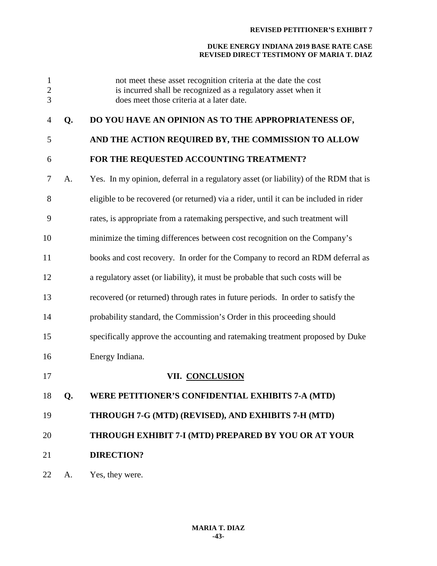| $\mathbf{1}$<br>$\overline{c}$<br>3 |    | not meet these asset recognition criteria at the date the cost<br>is incurred shall be recognized as a regulatory asset when it<br>does meet those criteria at a later date. |
|-------------------------------------|----|------------------------------------------------------------------------------------------------------------------------------------------------------------------------------|
| 4                                   | Q. | DO YOU HAVE AN OPINION AS TO THE APPROPRIATENESS OF,                                                                                                                         |
| 5                                   |    | AND THE ACTION REQUIRED BY, THE COMMISSION TO ALLOW                                                                                                                          |
| 6                                   |    | FOR THE REQUESTED ACCOUNTING TREATMENT?                                                                                                                                      |
| 7                                   | A. | Yes. In my opinion, deferral in a regulatory asset (or liability) of the RDM that is                                                                                         |
| 8                                   |    | eligible to be recovered (or returned) via a rider, until it can be included in rider                                                                                        |
| 9                                   |    | rates, is appropriate from a ratemaking perspective, and such treatment will                                                                                                 |
| 10                                  |    | minimize the timing differences between cost recognition on the Company's                                                                                                    |
| 11                                  |    | books and cost recovery. In order for the Company to record an RDM deferral as                                                                                               |
| 12                                  |    | a regulatory asset (or liability), it must be probable that such costs will be                                                                                               |
| 13                                  |    | recovered (or returned) through rates in future periods. In order to satisfy the                                                                                             |
| 14                                  |    | probability standard, the Commission's Order in this proceeding should                                                                                                       |
| 15                                  |    | specifically approve the accounting and ratemaking treatment proposed by Duke                                                                                                |
| 16                                  |    | Energy Indiana.                                                                                                                                                              |
| 17                                  |    | VII. CONCLUSION                                                                                                                                                              |
| 18                                  | Q. | WERE PETITIONER'S CONFIDENTIAL EXHIBITS 7-A (MTD)                                                                                                                            |
| 19                                  |    | THROUGH 7-G (MTD) (REVISED), AND EXHIBITS 7-H (MTD)                                                                                                                          |
| 20                                  |    | THROUGH EXHIBIT 7-I (MTD) PREPARED BY YOU OR AT YOUR                                                                                                                         |
| 21                                  |    | <b>DIRECTION?</b>                                                                                                                                                            |
| 22                                  | A. | Yes, they were.                                                                                                                                                              |
|                                     |    |                                                                                                                                                                              |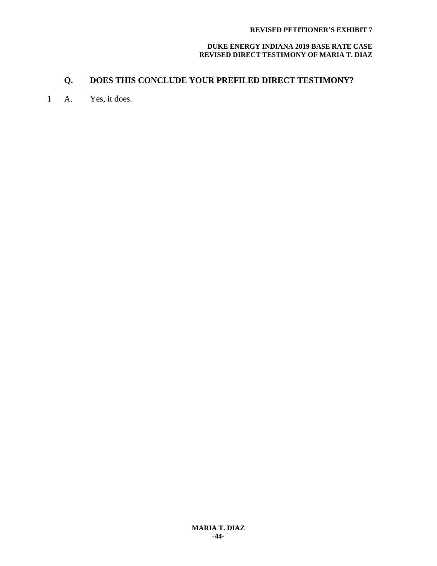# **Q. DOES THIS CONCLUDE YOUR PREFILED DIRECT TESTIMONY?**

1 A. Yes, it does.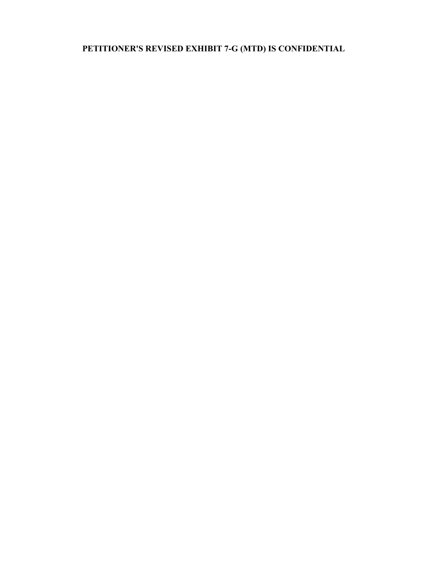**PETITIONER'S REVISED EXHIBIT 7-G (MTD) IS CONFIDENTIAL**